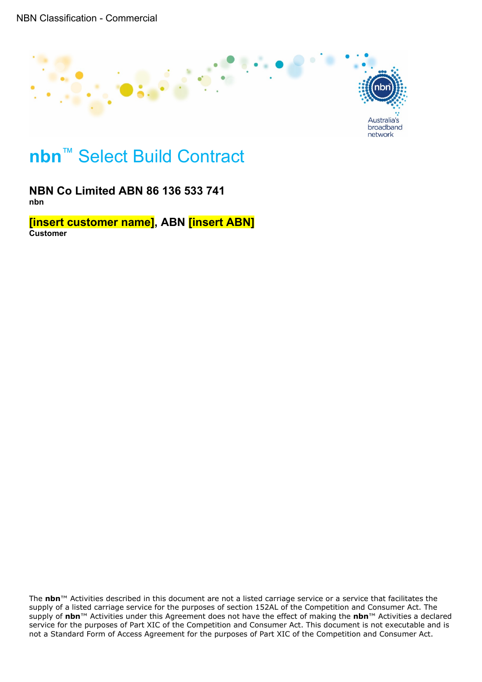

# **nbn**™ Select Build Contract

**NBN Co Limited ABN 86 136 533 741 nbn**

**[insert customer name], ABN [insert ABN] Customer**

The **nbn**™ Activities described in this document are not a listed carriage service or a service that facilitates the supply of a listed carriage service for the purposes of section 152AL of the Competition and Consumer Act. The supply of **nbn**™ Activities under this Agreement does not have the effect of making the **nbn**™ Activities a declared service for the purposes of Part XIC of the Competition and Consumer Act. This document is not executable and is not a Standard Form of Access Agreement for the purposes of Part XIC of the Competition and Consumer Act.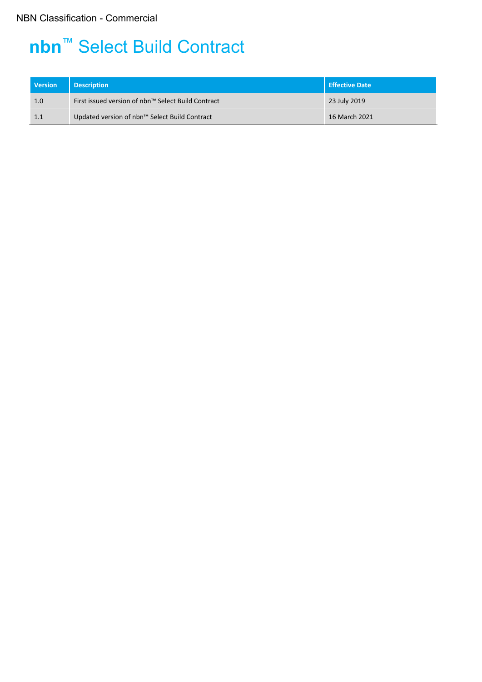# **nbn**™ Select Build Contract

| <b>Version</b> | <b>Description</b>                                 | Effective Date |  |
|----------------|----------------------------------------------------|----------------|--|
| 1.0            | First issued version of nbn™ Select Build Contract | 23 July 2019   |  |
| 1.1            | Updated version of nbn™ Select Build Contract      | 16 March 2021  |  |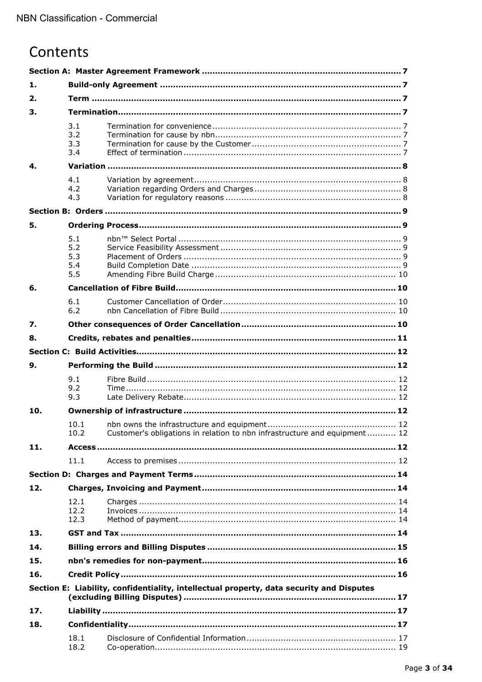# Contents

| 1.  |              |                                                                                          |  |  |  |  |  |
|-----|--------------|------------------------------------------------------------------------------------------|--|--|--|--|--|
| 2.  |              |                                                                                          |  |  |  |  |  |
| 3.  |              |                                                                                          |  |  |  |  |  |
|     | 3.1          |                                                                                          |  |  |  |  |  |
|     | 3.2<br>3.3   |                                                                                          |  |  |  |  |  |
|     | 3.4          |                                                                                          |  |  |  |  |  |
| 4.  |              |                                                                                          |  |  |  |  |  |
|     | 4.1          |                                                                                          |  |  |  |  |  |
|     | 4.2          |                                                                                          |  |  |  |  |  |
|     | 4.3          |                                                                                          |  |  |  |  |  |
|     |              |                                                                                          |  |  |  |  |  |
| 5.  |              |                                                                                          |  |  |  |  |  |
|     | 5.1          |                                                                                          |  |  |  |  |  |
|     | 5.2<br>5.3   |                                                                                          |  |  |  |  |  |
|     | 5.4          |                                                                                          |  |  |  |  |  |
|     | 5.5          |                                                                                          |  |  |  |  |  |
| 6.  |              |                                                                                          |  |  |  |  |  |
|     | 6.1          |                                                                                          |  |  |  |  |  |
|     | 6.2          |                                                                                          |  |  |  |  |  |
| 7.  |              |                                                                                          |  |  |  |  |  |
| 8.  |              |                                                                                          |  |  |  |  |  |
|     |              |                                                                                          |  |  |  |  |  |
| 9.  |              |                                                                                          |  |  |  |  |  |
|     | 9.1          |                                                                                          |  |  |  |  |  |
|     | 9.2          |                                                                                          |  |  |  |  |  |
| 10. | 9.3          |                                                                                          |  |  |  |  |  |
|     |              |                                                                                          |  |  |  |  |  |
|     |              |                                                                                          |  |  |  |  |  |
|     | 10.1<br>10.2 | Customer's obligations in relation to nbn infrastructure and equipment 12                |  |  |  |  |  |
| 11. |              |                                                                                          |  |  |  |  |  |
|     | 11.1         |                                                                                          |  |  |  |  |  |
|     |              |                                                                                          |  |  |  |  |  |
| 12. |              |                                                                                          |  |  |  |  |  |
|     | 12.1         |                                                                                          |  |  |  |  |  |
|     | 12.2         |                                                                                          |  |  |  |  |  |
|     | 12.3         |                                                                                          |  |  |  |  |  |
| 13. |              |                                                                                          |  |  |  |  |  |
| 14. |              |                                                                                          |  |  |  |  |  |
| 15. |              |                                                                                          |  |  |  |  |  |
| 16. |              |                                                                                          |  |  |  |  |  |
|     |              | Section E: Liability, confidentiality, intellectual property, data security and Disputes |  |  |  |  |  |
| 17. |              |                                                                                          |  |  |  |  |  |
| 18. |              |                                                                                          |  |  |  |  |  |
|     | 18.1         |                                                                                          |  |  |  |  |  |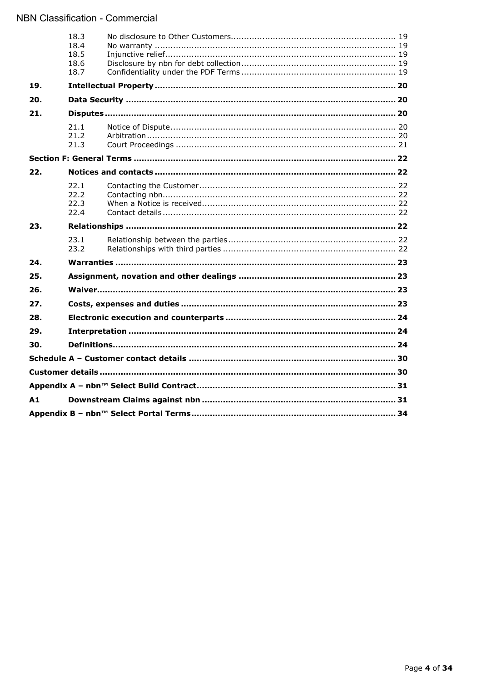|     | 18.3<br>18.4<br>18.5<br>18.6<br>18.7 |  |  |  |  |
|-----|--------------------------------------|--|--|--|--|
| 19. |                                      |  |  |  |  |
| 20. |                                      |  |  |  |  |
| 21. |                                      |  |  |  |  |
|     | 21.1<br>21.2<br>21.3                 |  |  |  |  |
|     |                                      |  |  |  |  |
| 22. |                                      |  |  |  |  |
|     | 22.1<br>22.2<br>22.3<br>22.4         |  |  |  |  |
| 23. |                                      |  |  |  |  |
|     | 23.1<br>23.2                         |  |  |  |  |
| 24. |                                      |  |  |  |  |
| 25. |                                      |  |  |  |  |
| 26. |                                      |  |  |  |  |
| 27. |                                      |  |  |  |  |
| 28. |                                      |  |  |  |  |
| 29. |                                      |  |  |  |  |
| 30. |                                      |  |  |  |  |
|     |                                      |  |  |  |  |
|     |                                      |  |  |  |  |
|     |                                      |  |  |  |  |
| A1  |                                      |  |  |  |  |
|     |                                      |  |  |  |  |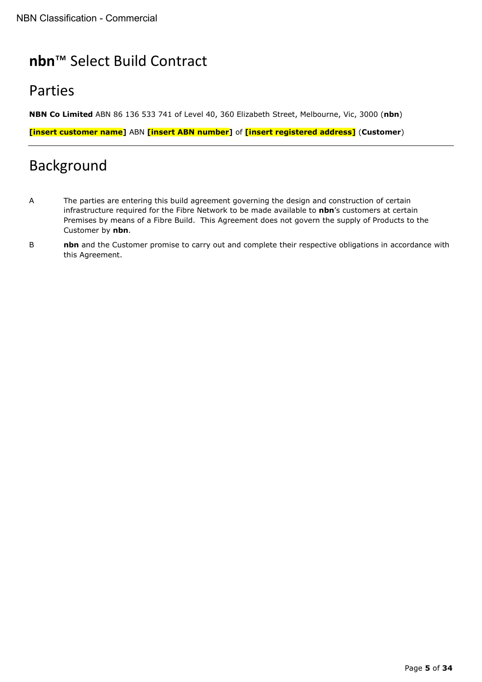# **nbn**™ Select Build Contract

# Parties

**NBN Co Limited** ABN 86 136 533 741 of Level 40, 360 Elizabeth Street, Melbourne, Vic, 3000 (**nbn**)

**[insert customer name]** ABN **[insert ABN number]** of **[insert registered address]** (**Customer**)

# Background

- A The parties are entering this build agreement governing the design and construction of certain infrastructure required for the Fibre Network to be made available to **nbn**'s customers at certain Premises by means of a Fibre Build. This Agreement does not govern the supply of Products to the Customer by **nbn**.
- **B nbn** and the Customer promise to carry out and complete their respective obligations in accordance with this Agreement.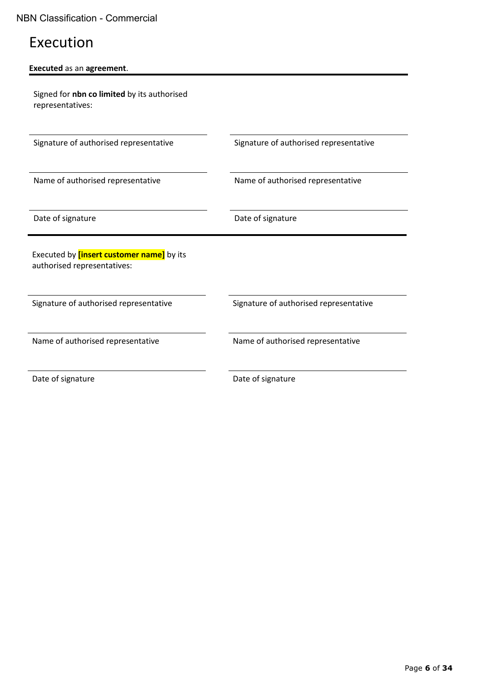# Execution

# **Executed** as an **agreement**.

Signed for **nbn co limited** by its authorised representatives:

Name of authorised representative Name of authorised representative

Signature of authorised representative Signature of authorised representative

Date of signature Date of signature

Executed by **[insert customer name]** by its authorised representatives:

Signature of authorised representative Signature of authorised representative

Name of authorised representative Name of authorised representative

Date of signature Date of signature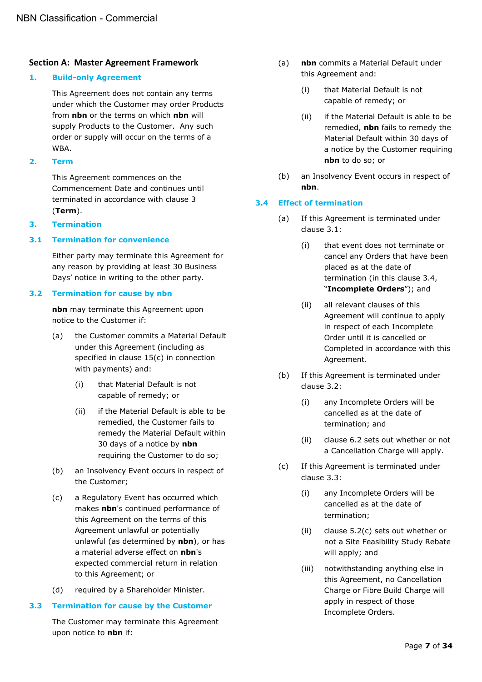## <span id="page-6-0"></span>**Section A: Master Agreement Framework**

#### <span id="page-6-1"></span>**1. Build-only Agreement**

This Agreement does not contain any terms under which the Customer may order Products from **nbn** or the terms on which **nbn** will supply Products to the Customer. Any such order or supply will occur on the terms of a WBA.

<span id="page-6-2"></span>**2. Term**

This Agreement commences on the Commencement Date and continues until terminated in accordance with clause [3](#page-6-3) (**Term**).

#### <span id="page-6-3"></span>**3. Termination**

#### <span id="page-6-4"></span>**3.1 Termination for convenience**

Either party may terminate this Agreement for any reason by providing at least 30 Business Days' notice in writing to the other party.

#### <span id="page-6-5"></span>**3.2 Termination for cause by nbn**

**nbn** may terminate this Agreement upon notice to the Customer if:

- <span id="page-6-10"></span>(a) the Customer commits a Material Default under this Agreement (including as specified in clause [15\(c\)](#page-15-2) in connection with payments) and:
	- (i) that Material Default is not capable of remedy; or
	- (ii) if the Material Default is able to be remedied, the Customer fails to remedy the Material Default within 30 days of a notice by **nbn** requiring the Customer to do so;
- <span id="page-6-11"></span>(b) an Insolvency Event occurs in respect of the Customer;
- (c) a Regulatory Event has occurred which makes **nbn**'s continued performance of this Agreement on the terms of this Agreement unlawful or potentially unlawful (as determined by **nbn**), or has a material adverse effect on **nbn**'s expected commercial return in relation to this Agreement; or
- (d) required by a Shareholder Minister.

#### <span id="page-6-6"></span>**3.3 Termination for cause by the Customer**

The Customer may terminate this Agreement upon notice to **nbn** if:

- (a) **nbn** commits a Material Default under this Agreement and:
	- (i) that Material Default is not capable of remedy; or
	- (ii) if the Material Default is able to be remedied, **nbn** fails to remedy the Material Default within 30 days of a notice by the Customer requiring **nbn** to do so; or
- (b) an Insolvency Event occurs in respect of **nbn**.

#### <span id="page-6-7"></span>**3.4 Effect of termination**

- (a) If this Agreement is terminated under clause [3.1:](#page-6-4)
	- (i) that event does not terminate or cancel any Orders that have been placed as at the date of termination (in this clause [3.4,](#page-6-7) "**Incomplete Orders**"); and
	- (ii) all relevant clauses of this Agreement will continue to apply in respect of each Incomplete Order until it is cancelled or Completed in accordance with this Agreement.
- (b) If this Agreement is terminated under clause [3.2:](#page-6-5)
	- (i) any Incomplete Orders will be cancelled as at the date of termination; and
	- (ii) clause [6.2](#page-9-3) sets out whether or not a Cancellation Charge will apply.
- <span id="page-6-9"></span><span id="page-6-8"></span>(c) If this Agreement is terminated under clause [3.3:](#page-6-6)
	- (i) any Incomplete Orders will be cancelled as at the date of termination;
	- (ii) clause [5.2\(c\)](#page-8-6) sets out whether or not a Site Feasibility Study Rebate will apply; and
	- (iii) notwithstanding anything else in this Agreement, no Cancellation Charge or Fibre Build Charge will apply in respect of those Incomplete Orders.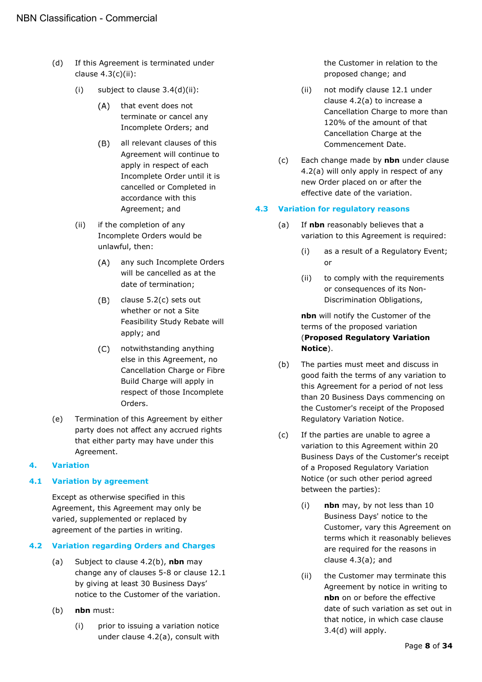- <span id="page-7-9"></span><span id="page-7-5"></span>(d) If this Agreement is terminated under clause [4.3\(c\)\(ii\):](#page-7-4)
	- (i) subject to clause  $3.4(d)(ii)$ :
		- $(A)$ that event does not terminate or cancel any Incomplete Orders; and
		- $(B)$ all relevant clauses of this Agreement will continue to apply in respect of each Incomplete Order until it is cancelled or Completed in accordance with this Agreement; and
	- (ii) if the completion of any Incomplete Orders would be unlawful, then:
		- any such Incomplete Orders  $(A)$ will be cancelled as at the date of termination;
		- $(B)$ clause [5.2\(c\)](#page-8-6) sets out whether or not a Site Feasibility Study Rebate will apply; and
		- notwithstanding anything else in this Agreement, no Cancellation Charge or Fibre Build Charge will apply in respect of those Incomplete Orders.
- <span id="page-7-10"></span>(e) Termination of this Agreement by either party does not affect any accrued rights that either party may have under this Agreement.

# <span id="page-7-0"></span>**4. Variation**

# <span id="page-7-1"></span>**4.1 Variation by agreement**

Except as otherwise specified in this Agreement, this Agreement may only be varied, supplemented or replaced by agreement of the parties in writing.

# <span id="page-7-7"></span><span id="page-7-2"></span>**4.2 Variation regarding Orders and Charges**

- (a) Subject to clause [4.2\(b\),](#page-7-6) **nbn** may change any of clauses [5](#page-8-1)[-8](#page-10-0) or clause [12.1](#page-13-2) by giving at least 30 Business Days' notice to the Customer of the variation.
- <span id="page-7-6"></span>(b) **nbn** must:
	- (i) prior to issuing a variation notice under clause [4.2\(a\),](#page-7-7) consult with

the Customer in relation to the proposed change; and

- (ii) not modify clause [12.1](#page-13-2) under clause [4.2\(a\)](#page-7-7) to increase a Cancellation Charge to more than 120% of the amount of that Cancellation Charge at the Commencement Date.
- (c) Each change made by **nbn** under clause [4.2\(a\)](#page-7-7) will only apply in respect of any new Order placed on or after the effective date of the variation.

## <span id="page-7-8"></span><span id="page-7-3"></span>**4.3 Variation for regulatory reasons**

- (a) If **nbn** reasonably believes that a variation to this Agreement is required:
	- (i) as a result of a Regulatory Event; or
	- (ii) to comply with the requirements or consequences of its Non-Discrimination Obligations,

**nbn** will notify the Customer of the terms of the proposed variation (**Proposed Regulatory Variation Notice**).

- (b) The parties must meet and discuss in good faith the terms of any variation to this Agreement for a period of not less than 20 Business Days commencing on the Customer's receipt of the Proposed Regulatory Variation Notice.
- <span id="page-7-4"></span>(c) If the parties are unable to agree a variation to this Agreement within 20 Business Days of the Customer's receipt of a Proposed Regulatory Variation Notice (or such other period agreed between the parties):
	- (i) **nbn** may, by not less than 10 Business Days' notice to the Customer, vary this Agreement on terms which it reasonably believes are required for the reasons in clause [4.3\(a\);](#page-7-8) and
	- (ii) the Customer may terminate this Agreement by notice in writing to **nbn** on or before the effective date of such variation as set out in that notice, in which case clause [3.4\(d\)](#page-7-9) will apply.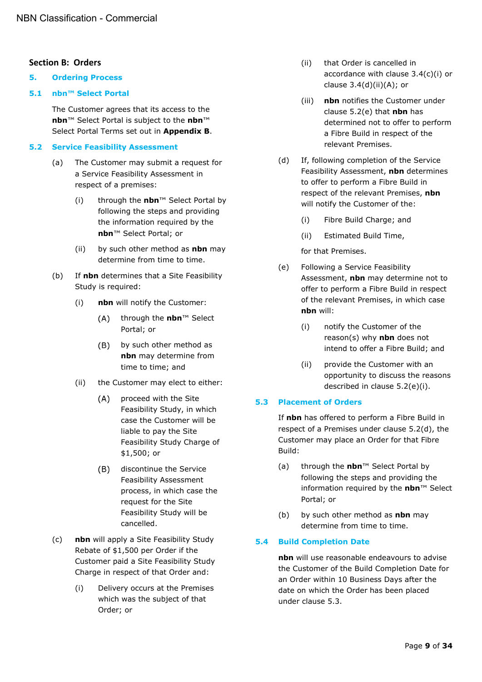# <span id="page-8-0"></span>**Section B: Orders**

#### <span id="page-8-1"></span>**5. Ordering Process**

#### <span id="page-8-2"></span>**5.1 nbn™ Select Portal**

<span id="page-8-10"></span>The Customer agrees that its access to the **nbn**™ Select Portal is subject to the **nbn**™ Select Portal Terms set out in **Appendix B**.

### <span id="page-8-3"></span>**5.2 Service Feasibility Assessment**

- (a) The Customer may submit a request for a Service Feasibility Assessment in respect of a premises:
	- (i) through the **nbn**™ Select Portal by following the steps and providing the information required by the **nbn**™ Select Portal; or
	- (ii) by such other method as **nbn** may determine from time to time.
- <span id="page-8-11"></span>(b) If **nbn** determines that a Site Feasibility Study is required:
	- (i) **nbn** will notify the Customer:
		- through the **nbn**™ Select  $(A)$ Portal; or
		- $(B)$ by such other method as **nbn** may determine from time to time; and
	- (ii) the Customer may elect to either:
		- proceed with the Site  $(A)$ Feasibility Study, in which case the Customer will be liable to pay the Site Feasibility Study Charge of \$1,500; or
		- $(B)$ discontinue the Service Feasibility Assessment process, in which case the request for the Site Feasibility Study will be cancelled.
- (c) **nbn** will apply a Site Feasibility Study Rebate of \$1,500 per Order if the Customer paid a Site Feasibility Study Charge in respect of that Order and:
	- (i) Delivery occurs at the Premises which was the subject of that Order; or
- (ii) that Order is cancelled in accordance with clause [3.4\(c\)\(i\)](#page-6-8) or clause  $3.4(d)(ii)(A)$ ; or
- (iii) **nbn** notifies the Customer under clause [5.2\(e\)](#page-8-7) that **nbn** has determined not to offer to perform a Fibre Build in respect of the relevant Premises.
- <span id="page-8-9"></span>(d) If, following completion of the Service Feasibility Assessment, **nbn** determines to offer to perform a Fibre Build in respect of the relevant Premises, **nbn** will notify the Customer of the:
	- (i) Fibre Build Charge; and
	- (ii) Estimated Build Time,

## for that Premises.

- <span id="page-8-8"></span><span id="page-8-7"></span>(e) Following a Service Feasibility Assessment, **nbn** may determine not to offer to perform a Fibre Build in respect of the relevant Premises, in which case **nbn** will:
	- (i) notify the Customer of the reason(s) why **nbn** does not intend to offer a Fibre Build; and
	- (ii) provide the Customer with an opportunity to discuss the reasons described in clause [5.2\(e\)\(i\).](#page-8-8)

# <span id="page-8-4"></span>**5.3 Placement of Orders**

If **nbn** has offered to perform a Fibre Build in respect of a Premises under clause [5.2\(d\),](#page-8-9) the Customer may place an Order for that Fibre Build:

- (a) through the **nbn**™ Select Portal by following the steps and providing the information required by the **nbn**™ Select Portal; or
- (b) by such other method as **nbn** may determine from time to time.

# <span id="page-8-6"></span><span id="page-8-5"></span>**5.4 Build Completion Date**

**nbn** will use reasonable endeavours to advise the Customer of the Build Completion Date for an Order within 10 Business Days after the date on which the Order has been placed under clause [5.3.](#page-8-4)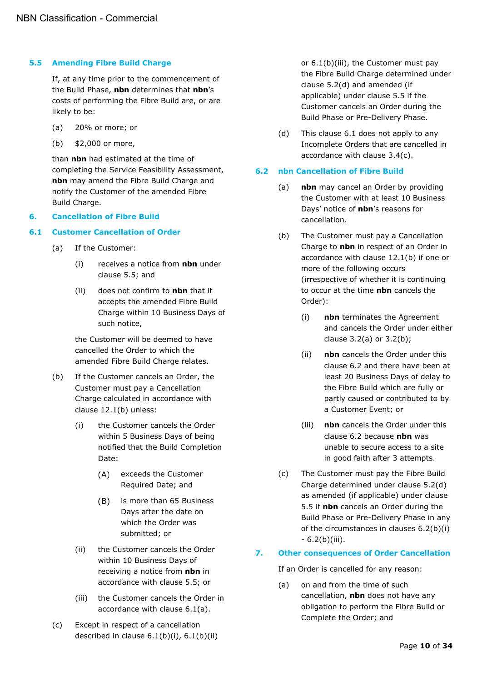#### <span id="page-9-0"></span>**5.5 Amending Fibre Build Charge**

If, at any time prior to the commencement of the Build Phase, **nbn** determines that **nbn**'s costs of performing the Fibre Build are, or are likely to be:

- (a) 20% or more; or
- (b) \$2,000 or more,

than **nbn** had estimated at the time of completing the Service Feasibility Assessment, **nbn** may amend the Fibre Build Charge and notify the Customer of the amended Fibre Build Charge.

#### <span id="page-9-1"></span>**6. Cancellation of Fibre Build**

#### <span id="page-9-5"></span><span id="page-9-2"></span>**6.1 Customer Cancellation of Order**

- (a) If the Customer:
	- (i) receives a notice from **nbn** under clause [5.5;](#page-9-0) and
	- (ii) does not confirm to **nbn** that it accepts the amended Fibre Build Charge within 10 Business Days of such notice,

the Customer will be deemed to have cancelled the Order to which the amended Fibre Build Charge relates.

- <span id="page-9-6"></span>(b) If the Customer cancels an Order, the Customer must pay a Cancellation Charge calculated in accordance with clause [12.1\(b\)](#page-13-6) unless:
	- (i) the Customer cancels the Order within 5 Business Days of being notified that the Build Completion Date:
		- (A) exceeds the Customer Required Date; and
		- is more than 65 Business  $(B)$ Days after the date on which the Order was submitted; or
	- (ii) the Customer cancels the Order within 10 Business Days of receiving a notice from **nbn** in accordance with clause [5.5;](#page-9-0) or
	- (iii) the Customer cancels the Order in accordance with clause [6.1\(a\).](#page-9-5)
- <span id="page-9-11"></span><span id="page-9-8"></span><span id="page-9-7"></span>(c) Except in respect of a cancellation described in clause  $6.1(b)(i)$ ,  $6.1(b)(ii)$

or [6.1\(b\)\(iii\),](#page-9-8) the Customer must pay the Fibre Build Charge determined under clause [5.2\(d\)](#page-8-9) and amended (if applicable) under clause [5.5](#page-9-0) if the Customer cancels an Order during the Build Phase or Pre-Delivery Phase.

(d) This clause [6.1](#page-9-2) does not apply to any Incomplete Orders that are cancelled in accordance with clause [3.4\(c\).](#page-6-9)

#### <span id="page-9-3"></span>**6.2 nbn Cancellation of Fibre Build**

- (a) **nbn** may cancel an Order by providing the Customer with at least 10 Business Days' notice of **nbn**'s reasons for cancellation.
- <span id="page-9-9"></span>(b) The Customer must pay a Cancellation Charge to **nbn** in respect of an Order in accordance with clause [12.1\(b\)](#page-13-6) if one or more of the following occurs (irrespective of whether it is continuing to occur at the time **nbn** cancels the Order):
	- (i) **nbn** terminates the Agreement and cancels the Order under either clause [3.2\(a\)](#page-6-10) or [3.2\(b\);](#page-6-11)
	- (ii) **nbn** cancels the Order under this clause [6.2](#page-9-3) and there have been at least 20 Business Days of delay to the Fibre Build which are fully or partly caused or contributed to by a Customer Event; or
	- (iii) **nbn** cancels the Order under this clause [6.2](#page-9-3) because **nbn** was unable to secure access to a site in good faith after 3 attempts.
- <span id="page-9-12"></span><span id="page-9-10"></span>(c) The Customer must pay the Fibre Build Charge determined under clause [5.2\(d\)](#page-8-9) as amended (if applicable) under clause [5.5](#page-9-0) if **nbn** cancels an Order during the Build Phase or Pre-Delivery Phase in any of the circumstances in clauses [6.2\(b\)\(i\)](#page-9-9) - [6.2\(b\)\(iii\).](#page-9-10)

#### <span id="page-9-4"></span>**7. Other consequences of Order Cancellation**

If an Order is cancelled for any reason:

(a) on and from the time of such cancellation, **nbn** does not have any obligation to perform the Fibre Build or Complete the Order; and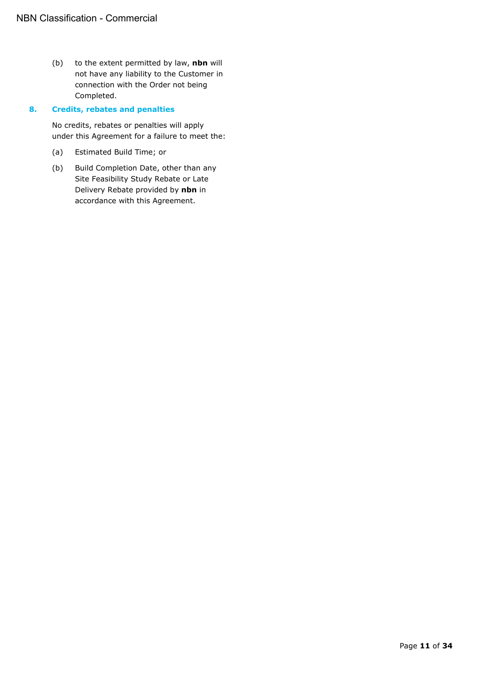(b) to the extent permitted by law, **nbn** will not have any liability to the Customer in connection with the Order not being Completed.

### <span id="page-10-0"></span>**8. Credits, rebates and penalties**

No credits, rebates or penalties will apply under this Agreement for a failure to meet the:

- (a) Estimated Build Time; or
- (b) Build Completion Date, other than any Site Feasibility Study Rebate or Late Delivery Rebate provided by **nbn** in accordance with this Agreement.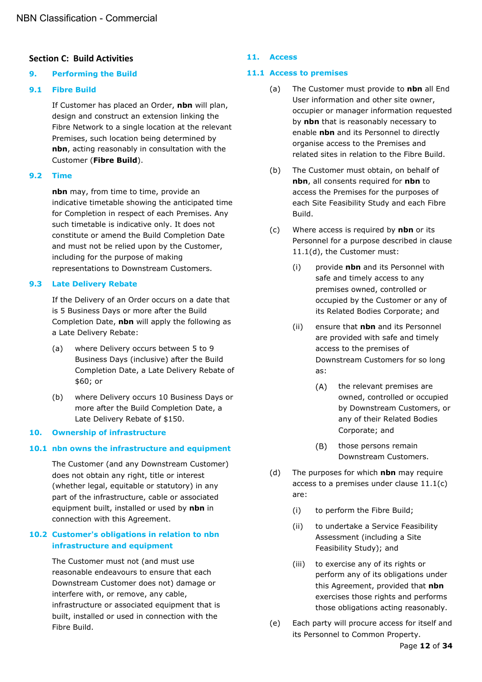# <span id="page-11-0"></span>**Section C: Build Activities**

#### <span id="page-11-1"></span>**9. Performing the Build**

### <span id="page-11-2"></span>**9.1 Fibre Build**

If Customer has placed an Order, **nbn** will plan, design and construct an extension linking the Fibre Network to a single location at the relevant Premises, such location being determined by **nbn**, acting reasonably in consultation with the Customer (**Fibre Build**).

#### <span id="page-11-3"></span>**9.2 Time**

**nbn** may, from time to time, provide an indicative timetable showing the anticipated time for Completion in respect of each Premises. Any such timetable is indicative only. It does not constitute or amend the Build Completion Date and must not be relied upon by the Customer, including for the purpose of making representations to Downstream Customers.

#### <span id="page-11-4"></span>**9.3 Late Delivery Rebate**

If the Delivery of an Order occurs on a date that is 5 Business Days or more after the Build Completion Date, **nbn** will apply the following as a Late Delivery Rebate:

- (a) where Delivery occurs between 5 to 9 Business Days (inclusive) after the Build Completion Date, a Late Delivery Rebate of \$60; or
- (b) where Delivery occurs 10 Business Days or more after the Build Completion Date, a Late Delivery Rebate of \$150.

#### <span id="page-11-5"></span>**10. Ownership of infrastructure**

#### <span id="page-11-6"></span>**10.1 nbn owns the infrastructure and equipment**

The Customer (and any Downstream Customer) does not obtain any right, title or interest (whether legal, equitable or statutory) in any part of the infrastructure, cable or associated equipment built, installed or used by **nbn** in connection with this Agreement.

# <span id="page-11-7"></span>**10.2 Customer's obligations in relation to nbn infrastructure and equipment**

The Customer must not (and must use reasonable endeavours to ensure that each Downstream Customer does not) damage or interfere with, or remove, any cable, infrastructure or associated equipment that is built, installed or used in connection with the Fibre Build.

### <span id="page-11-8"></span>**11. Access**

### <span id="page-11-9"></span>**11.1 Access to premises**

- (a) The Customer must provide to **nbn** all End User information and other site owner, occupier or manager information requested by **nbn** that is reasonably necessary to enable **nbn** and its Personnel to directly organise access to the Premises and related sites in relation to the Fibre Build.
- (b) The Customer must obtain, on behalf of **nbn**, all consents required for **nbn** to access the Premises for the purposes of each Site Feasibility Study and each Fibre Build.
- <span id="page-11-11"></span>(c) Where access is required by **nbn** or its Personnel for a purpose described in clause [11.1\(d\),](#page-11-10) the Customer must:
	- (i) provide **nbn** and its Personnel with safe and timely access to any premises owned, controlled or occupied by the Customer or any of its Related Bodies Corporate; and
	- (ii) ensure that **nbn** and its Personnel are provided with safe and timely access to the premises of Downstream Customers for so long as:
		- $(A)$ the relevant premises are owned, controlled or occupied by Downstream Customers, or any of their Related Bodies Corporate; and
		- $(B)$ those persons remain Downstream Customers.
- <span id="page-11-10"></span>(d) The purposes for which **nbn** may require access to a premises under clause [11.1\(c\)](#page-11-11) are:
	- (i) to perform the Fibre Build;
	- (ii) to undertake a Service Feasibility Assessment (including a Site Feasibility Study); and
	- (iii) to exercise any of its rights or perform any of its obligations under this Agreement, provided that **nbn** exercises those rights and performs those obligations acting reasonably.
- (e) Each party will procure access for itself and its Personnel to Common Property.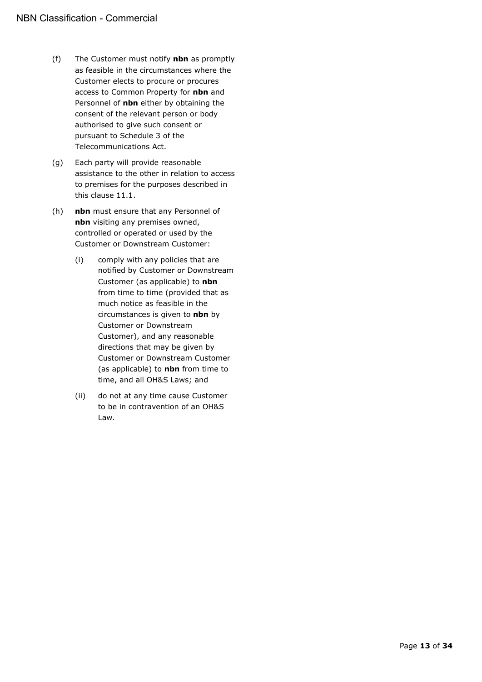- (f) The Customer must notify **nbn** as promptly as feasible in the circumstances where the Customer elects to procure or procures access to Common Property for **nbn** and Personnel of **nbn** either by obtaining the consent of the relevant person or body authorised to give such consent or pursuant to Schedule 3 of the Telecommunications Act.
- (g) Each party will provide reasonable assistance to the other in relation to access to premises for the purposes described in this clause [11.1.](#page-11-9)
- (h) **nbn** must ensure that any Personnel of **nbn** visiting any premises owned, controlled or operated or used by the Customer or Downstream Customer:
	- (i) comply with any policies that are notified by Customer or Downstream Customer (as applicable) to **nbn** from time to time (provided that as much notice as feasible in the circumstances is given to **nbn** by Customer or Downstream Customer), and any reasonable directions that may be given by Customer or Downstream Customer (as applicable) to **nbn** from time to time, and all OH&S Laws; and
	- (ii) do not at any time cause Customer to be in contravention of an OH&S Law.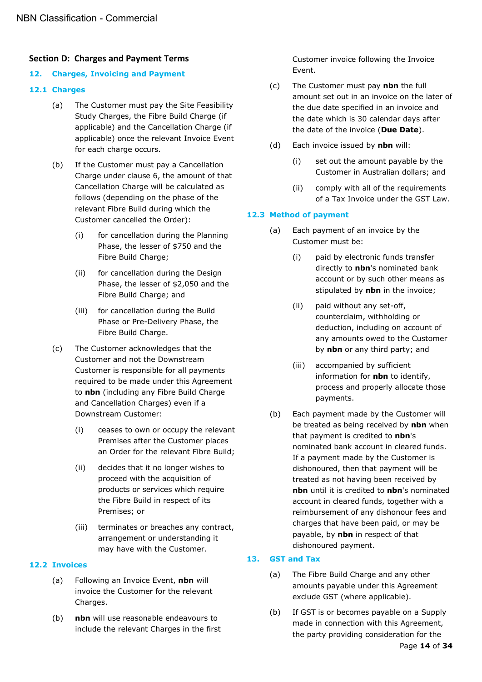# <span id="page-13-0"></span>**Section D: Charges and Payment Terms**

## <span id="page-13-1"></span>**12. Charges, Invoicing and Payment**

### <span id="page-13-2"></span>**12.1 Charges**

- (a) The Customer must pay the Site Feasibility Study Charges, the Fibre Build Charge (if applicable) and the Cancellation Charge (if applicable) once the relevant Invoice Event for each charge occurs.
- <span id="page-13-6"></span>(b) If the Customer must pay a Cancellation Charge under clause [6,](#page-9-1) the amount of that Cancellation Charge will be calculated as follows (depending on the phase of the relevant Fibre Build during which the Customer cancelled the Order):
	- (i) for cancellation during the Planning Phase, the lesser of \$750 and the Fibre Build Charge;
	- (ii) for cancellation during the Design Phase, the lesser of \$2,050 and the Fibre Build Charge; and
	- (iii) for cancellation during the Build Phase or Pre-Delivery Phase, the Fibre Build Charge.
- (c) The Customer acknowledges that the Customer and not the Downstream Customer is responsible for all payments required to be made under this Agreement to **nbn** (including any Fibre Build Charge and Cancellation Charges) even if a Downstream Customer:
	- (i) ceases to own or occupy the relevant Premises after the Customer places an Order for the relevant Fibre Build;
	- (ii) decides that it no longer wishes to proceed with the acquisition of products or services which require the Fibre Build in respect of its Premises; or
	- (iii) terminates or breaches any contract, arrangement or understanding it may have with the Customer.

# <span id="page-13-3"></span>**12.2 Invoices**

- (a) Following an Invoice Event, **nbn** will invoice the Customer for the relevant Charges.
- (b) **nbn** will use reasonable endeavours to include the relevant Charges in the first

Customer invoice following the Invoice Event.

- <span id="page-13-7"></span>(c) The Customer must pay **nbn** the full amount set out in an invoice on the later of the due date specified in an invoice and the date which is 30 calendar days after the date of the invoice (**Due Date**).
- (d) Each invoice issued by **nbn** will:
	- (i) set out the amount payable by the Customer in Australian dollars; and
	- (ii) comply with all of the requirements of a Tax Invoice under the GST Law.

## <span id="page-13-4"></span>**12.3 Method of payment**

- (a) Each payment of an invoice by the Customer must be:
	- (i) paid by electronic funds transfer directly to **nbn**'s nominated bank account or by such other means as stipulated by **nbn** in the invoice;
	- (ii) paid without any set-off, counterclaim, withholding or deduction, including on account of any amounts owed to the Customer by **nbn** or any third party; and
	- (iii) accompanied by sufficient information for **nbn** to identify, process and properly allocate those payments.
- (b) Each payment made by the Customer will be treated as being received by **nbn** when that payment is credited to **nbn**'s nominated bank account in cleared funds. If a payment made by the Customer is dishonoured, then that payment will be treated as not having been received by **nbn** until it is credited to **nbn**'s nominated account in cleared funds, together with a reimbursement of any dishonour fees and charges that have been paid, or may be payable, by **nbn** in respect of that dishonoured payment.

# <span id="page-13-5"></span>**13. GST and Tax**

- (a) The Fibre Build Charge and any other amounts payable under this Agreement exclude GST (where applicable).
- (b) If GST is or becomes payable on a Supply made in connection with this Agreement, the party providing consideration for the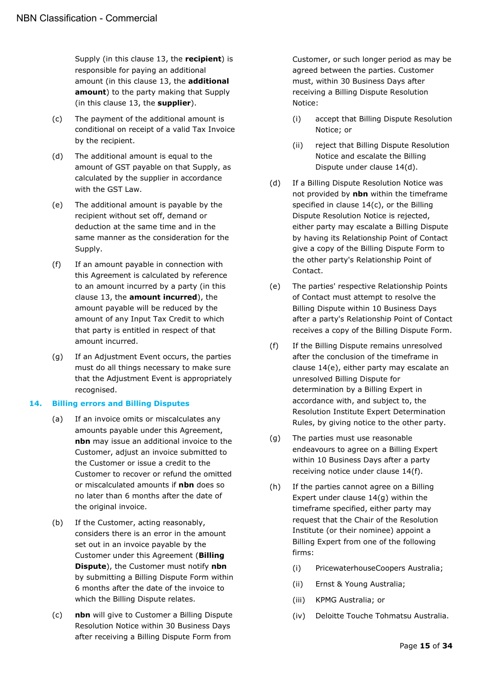Supply (in this clause [13,](#page-13-5) the **recipient**) is responsible for paying an additional amount (in this clause [13,](#page-13-5) the **additional amount**) to the party making that Supply (in this clause [13,](#page-13-5) the **supplier**).

- (c) The payment of the additional amount is conditional on receipt of a valid Tax Invoice by the recipient.
- (d) The additional amount is equal to the amount of GST payable on that Supply, as calculated by the supplier in accordance with the GST Law.
- (e) The additional amount is payable by the recipient without set off, demand or deduction at the same time and in the same manner as the consideration for the Supply.
- (f) If an amount payable in connection with this Agreement is calculated by reference to an amount incurred by a party (in this clause [13,](#page-13-5) the **amount incurred**), the amount payable will be reduced by the amount of any Input Tax Credit to which that party is entitled in respect of that amount incurred.
- (g) If an Adjustment Event occurs, the parties must do all things necessary to make sure that the Adjustment Event is appropriately recognised.

#### <span id="page-14-0"></span>**14. Billing errors and Billing Disputes**

- (a) If an invoice omits or miscalculates any amounts payable under this Agreement, **nbn** may issue an additional invoice to the Customer, adjust an invoice submitted to the Customer or issue a credit to the Customer to recover or refund the omitted or miscalculated amounts if **nbn** does so no later than 6 months after the date of the original invoice.
- <span id="page-14-7"></span>(b) If the Customer, acting reasonably, considers there is an error in the amount set out in an invoice payable by the Customer under this Agreement (**Billing Dispute**), the Customer must notify **nbn**  by submitting a Billing Dispute Form within 6 months after the date of the invoice to which the Billing Dispute relates.
- <span id="page-14-2"></span>(c) **nbn** will give to Customer a Billing Dispute Resolution Notice within 30 Business Days after receiving a Billing Dispute Form from

Customer, or such longer period as may be agreed between the parties. Customer must, within 30 Business Days after receiving a Billing Dispute Resolution Notice:

- (i) accept that Billing Dispute Resolution Notice; or
- (ii) reject that Billing Dispute Resolution Notice and escalate the Billing Dispute under clause [14\(d\).](#page-14-1)
- <span id="page-14-1"></span>(d) If a Billing Dispute Resolution Notice was not provided by **nbn** within the timeframe specified in clause [14\(c\),](#page-14-2) or the Billing Dispute Resolution Notice is rejected, either party may escalate a Billing Dispute by having its Relationship Point of Contact give a copy of the Billing Dispute Form to the other party's Relationship Point of Contact.
- <span id="page-14-3"></span>(e) The parties' respective Relationship Points of Contact must attempt to resolve the Billing Dispute within 10 Business Days after a party's Relationship Point of Contact receives a copy of the Billing Dispute Form.
- <span id="page-14-4"></span>(f) If the Billing Dispute remains unresolved after the conclusion of the timeframe in clause [14\(e\),](#page-14-3) either party may escalate an unresolved Billing Dispute for determination by a Billing Expert in accordance with, and subject to, the Resolution Institute Expert Determination Rules, by giving notice to the other party.
- <span id="page-14-5"></span>(g) The parties must use reasonable endeavours to agree on a Billing Expert within 10 Business Days after a party receiving notice under clause [14\(f\).](#page-14-4)
- <span id="page-14-6"></span>(h) If the parties cannot agree on a Billing Expert under clause [14\(g\)](#page-14-5) within the timeframe specified, either party may request that the Chair of the Resolution Institute (or their nominee) appoint a Billing Expert from one of the following firms:
	- (i) PricewaterhouseCoopers Australia;
	- (ii) Ernst & Young Australia;
	- (iii) KPMG Australia; or
	- (iv) Deloitte Touche Tohmatsu Australia.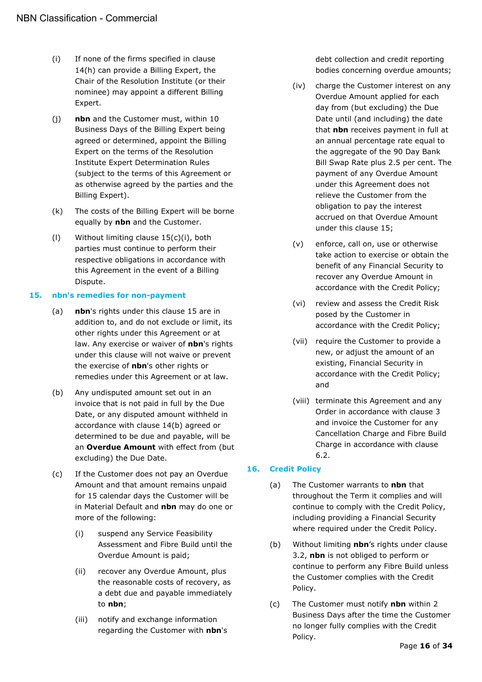- (i) If none of the firms specified in clause [14\(h\)](#page-14-6) can provide a Billing Expert, the Chair of the Resolution Institute (or their nominee) may appoint a different Billing Expert.
- (j) **nbn** and the Customer must, within 10 Business Days of the Billing Expert being agreed or determined, appoint the Billing Expert on the terms of the Resolution Institute Expert Determination Rules (subject to the terms of this Agreement or as otherwise agreed by the parties and the Billing Expert).
- (k) The costs of the Billing Expert will be borne equally by **nbn** and the Customer.
- (l) Without limiting clause [15\(c\)\(i\),](#page-15-3) both parties must continue to perform their respective obligations in accordance with this Agreement in the event of a Billing Dispute.

#### <span id="page-15-0"></span>**15. nbn's remedies for non-payment**

- (a) **nbn**'s rights under this clause [15](#page-15-0) are in addition to, and do not exclude or limit, its other rights under this Agreement or at law. Any exercise or waiver of **nbn**'s rights under this clause will not waive or prevent the exercise of **nbn**'s other rights or remedies under this Agreement or at law.
- <span id="page-15-4"></span>(b) Any undisputed amount set out in an invoice that is not paid in full by the Due Date, or any disputed amount withheld in accordance with clause [14\(b\)](#page-14-7) agreed or determined to be due and payable, will be an **Overdue Amount** with effect from (but excluding) the Due Date.
- <span id="page-15-3"></span><span id="page-15-2"></span>(c) If the Customer does not pay an Overdue Amount and that amount remains unpaid for 15 calendar days the Customer will be in Material Default and **nbn** may do one or more of the following:
	- (i) suspend any Service Feasibility Assessment and Fibre Build until the Overdue Amount is paid;
	- (ii) recover any Overdue Amount, plus the reasonable costs of recovery, as a debt due and payable immediately to **nbn**;
	- (iii) notify and exchange information regarding the Customer with **nbn**'s

debt collection and credit reporting bodies concerning overdue amounts;

- (iv) charge the Customer interest on any Overdue Amount applied for each day from (but excluding) the Due Date until (and including) the date that **nbn** receives payment in full at an annual percentage rate equal to the aggregate of the 90 Day Bank Bill Swap Rate plus 2.5 per cent. The payment of any Overdue Amount under this Agreement does not relieve the Customer from the obligation to pay the interest accrued on that Overdue Amount under this clause [15;](#page-15-0)
- (v) enforce, call on, use or otherwise take action to exercise or obtain the benefit of any Financial Security to recover any Overdue Amount in accordance with the Credit Policy;
- (vi) review and assess the Credit Risk posed by the Customer in accordance with the Credit Policy;
- (vii) require the Customer to provide a new, or adjust the amount of an existing, Financial Security in accordance with the Credit Policy; and
- (viii) terminate this Agreement and any Order in accordance with clause [3](#page-6-3) and invoice the Customer for any Cancellation Charge and Fibre Build Charge in accordance with clause [6.2.](#page-9-3)

#### <span id="page-15-1"></span>**16. Credit Policy**

- (a) The Customer warrants to **nbn** that throughout the Term it complies and will continue to comply with the Credit Policy, including providing a Financial Security where required under the Credit Policy.
- (b) Without limiting **nbn**'s rights under clause [3.2,](#page-6-5) **nbn** is not obliged to perform or continue to perform any Fibre Build unless the Customer complies with the Credit Policy.
- (c) The Customer must notify **nbn** within 2 Business Days after the time the Customer no longer fully complies with the Credit Policy.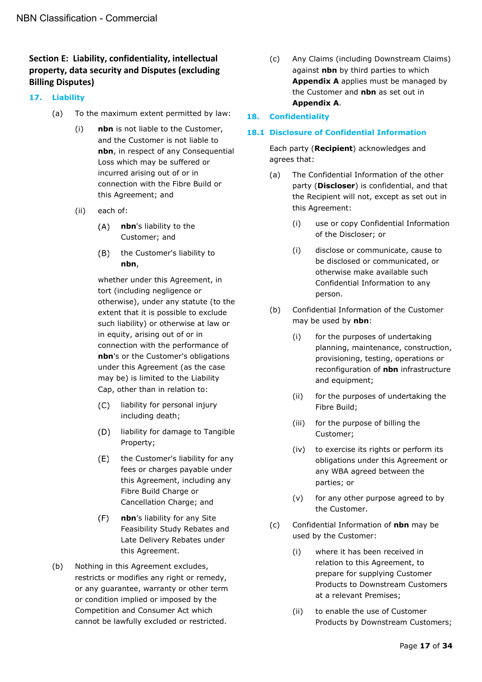# <span id="page-16-0"></span>**Section E: Liability, confidentiality, intellectual property, data security and Disputes (excluding Billing Disputes)**

# <span id="page-16-4"></span><span id="page-16-1"></span>**17. Liability**

- (a) To the maximum extent permitted by law:
	- (i) **nbn** is not liable to the Customer, and the Customer is not liable to **nbn**, in respect of any Consequential Loss which may be suffered or incurred arising out of or in connection with the Fibre Build or this Agreement; and
	- (ii) each of:
		- $(A)$ **nbn**'s liability to the Customer; and
		- the Customer's liability to  $(B)$ **nbn**,

whether under this Agreement, in tort (including negligence or otherwise), under any statute (to the extent that it is possible to exclude such liability) or otherwise at law or in equity, arising out of or in connection with the performance of **nbn**'s or the Customer's obligations under this Agreement (as the case may be) is limited to the Liability Cap, other than in relation to:

- liability for personal injury  $(C)$ including death;
- (D) liability for damage to Tangible Property;
- $(E)$ the Customer's liability for any fees or charges payable under this Agreement, including any Fibre Build Charge or Cancellation Charge; and
- $(F)$ **nbn**'s liability for any Site Feasibility Study Rebates and Late Delivery Rebates under this Agreement.
- (b) Nothing in this Agreement excludes, restricts or modifies any right or remedy, or any guarantee, warranty or other term or condition implied or imposed by the Competition and Consumer Act which cannot be lawfully excluded or restricted.

(c) Any Claims (including Downstream Claims) against **nbn** by third parties to which **Appendix A** applies must be managed by the Customer and **nbn** as set out in **Appendix A**.

## <span id="page-16-2"></span>**18. Confidentiality**

#### <span id="page-16-3"></span>**18.1 Disclosure of Confidential Information**

Each party (**Recipient**) acknowledges and agrees that:

- (a) The Confidential Information of the other party (**Discloser**) is confidential, and that the Recipient will not, except as set out in this Agreement:
	- (i) use or copy Confidential Information of the Discloser; or
	- (i) disclose or communicate, cause to be disclosed or communicated, or otherwise make available such Confidential Information to any person.
- (b) Confidential Information of the Customer may be used by **nbn**:
	- (i) for the purposes of undertaking planning, maintenance, construction, provisioning, testing, operations or reconfiguration of **nbn** infrastructure and equipment;
	- (ii) for the purposes of undertaking the Fibre Build;
	- (iii) for the purpose of billing the Customer;
	- (iv) to exercise its rights or perform its obligations under this Agreement or any WBA agreed between the parties; or
	- (v) for any other purpose agreed to by the Customer.
- (c) Confidential Information of **nbn** may be used by the Customer:
	- (i) where it has been received in relation to this Agreement, to prepare for supplying Customer Products to Downstream Customers at a relevant Premises;
	- (ii) to enable the use of Customer Products by Downstream Customers;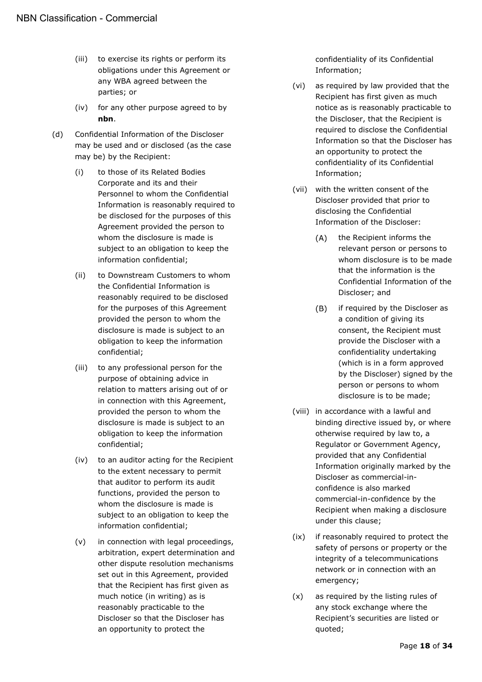- (iii) to exercise its rights or perform its obligations under this Agreement or any WBA agreed between the parties; or
- (iv) for any other purpose agreed to by **nbn**.
- (d) Confidential Information of the Discloser may be used and or disclosed (as the case may be) by the Recipient:
	- (i) to those of its Related Bodies Corporate and its and their Personnel to whom the Confidential Information is reasonably required to be disclosed for the purposes of this Agreement provided the person to whom the disclosure is made is subject to an obligation to keep the information confidential;
	- (ii) to Downstream Customers to whom the Confidential Information is reasonably required to be disclosed for the purposes of this Agreement provided the person to whom the disclosure is made is subject to an obligation to keep the information confidential;
	- (iii) to any professional person for the purpose of obtaining advice in relation to matters arising out of or in connection with this Agreement, provided the person to whom the disclosure is made is subject to an obligation to keep the information confidential;
	- (iv) to an auditor acting for the Recipient to the extent necessary to permit that auditor to perform its audit functions, provided the person to whom the disclosure is made is subject to an obligation to keep the information confidential;
	- (v) in connection with legal proceedings, arbitration, expert determination and other dispute resolution mechanisms set out in this Agreement, provided that the Recipient has first given as much notice (in writing) as is reasonably practicable to the Discloser so that the Discloser has an opportunity to protect the

confidentiality of its Confidential Information;

- (vi) as required by law provided that the Recipient has first given as much notice as is reasonably practicable to the Discloser, that the Recipient is required to disclose the Confidential Information so that the Discloser has an opportunity to protect the confidentiality of its Confidential Information;
- (vii) with the written consent of the Discloser provided that prior to disclosing the Confidential Information of the Discloser:
	- $(A)$ the Recipient informs the relevant person or persons to whom disclosure is to be made that the information is the Confidential Information of the Discloser; and
	- $(B)$ if required by the Discloser as a condition of giving its consent, the Recipient must provide the Discloser with a confidentiality undertaking (which is in a form approved by the Discloser) signed by the person or persons to whom disclosure is to be made;
- (viii) in accordance with a lawful and binding directive issued by, or where otherwise required by law to, a Regulator or Government Agency, provided that any Confidential Information originally marked by the Discloser as commercial-inconfidence is also marked commercial-in-confidence by the Recipient when making a disclosure under this clause;
- (ix) if reasonably required to protect the safety of persons or property or the integrity of a telecommunications network or in connection with an emergency;
- (x) as required by the listing rules of any stock exchange where the Recipient's securities are listed or quoted;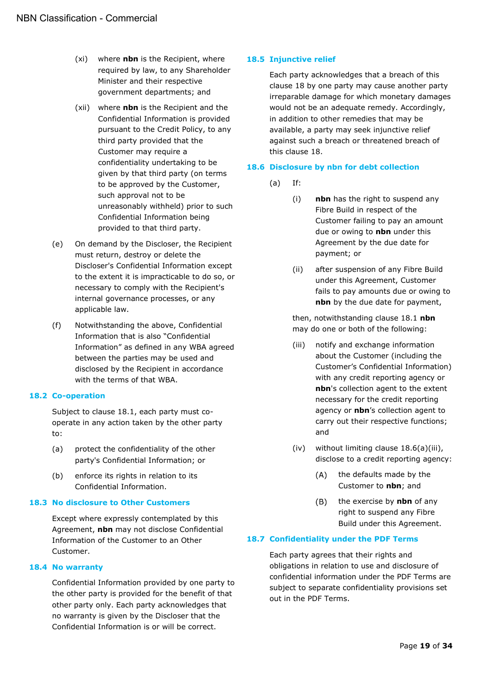- (xi) where **nbn** is the Recipient, where required by law, to any Shareholder Minister and their respective government departments; and
- (xii) where **nbn** is the Recipient and the Confidential Information is provided pursuant to the Credit Policy, to any third party provided that the Customer may require a confidentiality undertaking to be given by that third party (on terms to be approved by the Customer, such approval not to be unreasonably withheld) prior to such Confidential Information being provided to that third party.
- (e) On demand by the Discloser, the Recipient must return, destroy or delete the Discloser's Confidential Information except to the extent it is impracticable to do so, or necessary to comply with the Recipient's internal governance processes, or any applicable law.
- (f) Notwithstanding the above, Confidential Information that is also "Confidential Information" as defined in any WBA agreed between the parties may be used and disclosed by the Recipient in accordance with the terms of that WBA.

#### <span id="page-18-0"></span>**18.2 Co-operation**

Subject to clause [18.1,](#page-16-3) each party must cooperate in any action taken by the other party to:

- (a) protect the confidentiality of the other party's Confidential Information; or
- (b) enforce its rights in relation to its Confidential Information.

#### <span id="page-18-1"></span>**18.3 No disclosure to Other Customers**

Except where expressly contemplated by this Agreement, **nbn** may not disclose Confidential Information of the Customer to an Other Customer.

#### <span id="page-18-2"></span>**18.4 No warranty**

Confidential Information provided by one party to the other party is provided for the benefit of that other party only. Each party acknowledges that no warranty is given by the Discloser that the Confidential Information is or will be correct.

### <span id="page-18-3"></span>**18.5 Injunctive relief**

Each party acknowledges that a breach of this clause [18](#page-16-2) by one party may cause another party irreparable damage for which monetary damages would not be an adequate remedy. Accordingly, in addition to other remedies that may be available, a party may seek injunctive relief against such a breach or threatened breach of this clause [18.](#page-16-2)

#### <span id="page-18-4"></span>**18.6 Disclosure by nbn for debt collection**

- (a) If:
	- (i) **nbn** has the right to suspend any Fibre Build in respect of the Customer failing to pay an amount due or owing to **nbn** under this Agreement by the due date for payment; or
	- (ii) after suspension of any Fibre Build under this Agreement, Customer fails to pay amounts due or owing to **nbn** by the due date for payment,

then, notwithstanding clause [18.1](#page-16-3) **nbn** may do one or both of the following:

- <span id="page-18-6"></span>(iii) notify and exchange information about the Customer (including the Customer's Confidential Information) with any credit reporting agency or **nbn**'s collection agent to the extent necessary for the credit reporting agency or **nbn**'s collection agent to carry out their respective functions; and
- (iv) without limiting clause [18.6\(a\)\(iii\),](#page-18-6) disclose to a credit reporting agency:
	- $(A)$ the defaults made by the Customer to **nbn**; and
	- $(B)$ the exercise by **nbn** of any right to suspend any Fibre Build under this Agreement.

# <span id="page-18-5"></span>**18.7 Confidentiality under the PDF Terms**

Each party agrees that their rights and obligations in relation to use and disclosure of confidential information under the PDF Terms are subject to separate confidentiality provisions set out in the PDF Terms.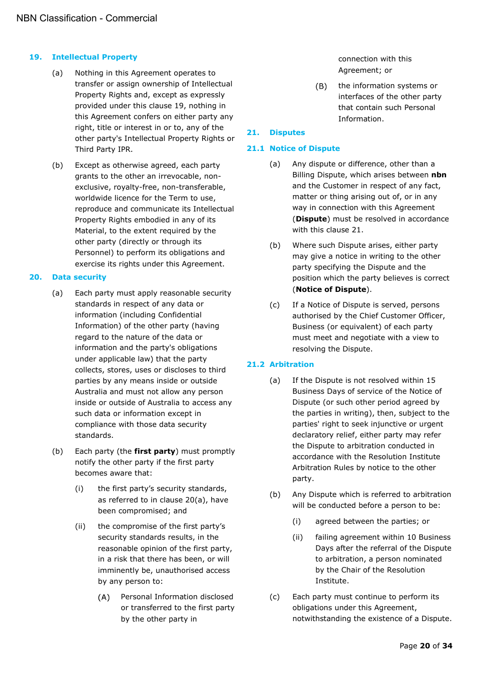### <span id="page-19-0"></span>**19. Intellectual Property**

- (a) Nothing in this Agreement operates to transfer or assign ownership of Intellectual Property Rights and, except as expressly provided under this clause [19,](#page-19-0) nothing in this Agreement confers on either party any right, title or interest in or to, any of the other party's Intellectual Property Rights or Third Party IPR.
- (b) Except as otherwise agreed, each party grants to the other an irrevocable, nonexclusive, royalty-free, non-transferable, worldwide licence for the Term to use, reproduce and communicate its Intellectual Property Rights embodied in any of its Material, to the extent required by the other party (directly or through its Personnel) to perform its obligations and exercise its rights under this Agreement.

#### <span id="page-19-5"></span><span id="page-19-1"></span>**20. Data security**

- (a) Each party must apply reasonable security standards in respect of any data or information (including Confidential Information) of the other party (having regard to the nature of the data or information and the party's obligations under applicable law) that the party collects, stores, uses or discloses to third parties by any means inside or outside Australia and must not allow any person inside or outside of Australia to access any such data or information except in compliance with those data security standards.
- (b) Each party (the **first party**) must promptly notify the other party if the first party becomes aware that:
	- (i) the first party's security standards, as referred to in clause [20\(a\),](#page-19-5) have been compromised; and
	- (ii) the compromise of the first party's security standards results, in the reasonable opinion of the first party, in a risk that there has been, or will imminently be, unauthorised access by any person to:
		- $(A)$ Personal Information disclosed or transferred to the first party by the other party in

connection with this Agreement; or

 $(B)$ the information systems or interfaces of the other party that contain such Personal Information.

# <span id="page-19-2"></span>**21. Disputes**

## <span id="page-19-7"></span><span id="page-19-3"></span>**21.1 Notice of Dispute**

- (a) Any dispute or difference, other than a Billing Dispute, which arises between **nbn** and the Customer in respect of any fact, matter or thing arising out of, or in any way in connection with this Agreement (**Dispute**) must be resolved in accordance with this clause [21.](#page-19-2)
- <span id="page-19-6"></span>(b) Where such Dispute arises, either party may give a notice in writing to the other party specifying the Dispute and the position which the party believes is correct (**Notice of Dispute**).
- (c) If a Notice of Dispute is served, persons authorised by the Chief Customer Officer, Business (or equivalent) of each party must meet and negotiate with a view to resolving the Dispute.

# <span id="page-19-4"></span>**21.2 Arbitration**

- (a) If the Dispute is not resolved within 15 Business Days of service of the Notice of Dispute (or such other period agreed by the parties in writing), then, subject to the parties' right to seek injunctive or urgent declaratory relief, either party may refer the Dispute to arbitration conducted in accordance with the Resolution Institute Arbitration Rules by notice to the other party.
- (b) Any Dispute which is referred to arbitration will be conducted before a person to be:
	- (i) agreed between the parties; or
	- (ii) failing agreement within 10 Business Days after the referral of the Dispute to arbitration, a person nominated by the Chair of the Resolution Institute.
- (c) Each party must continue to perform its obligations under this Agreement, notwithstanding the existence of a Dispute.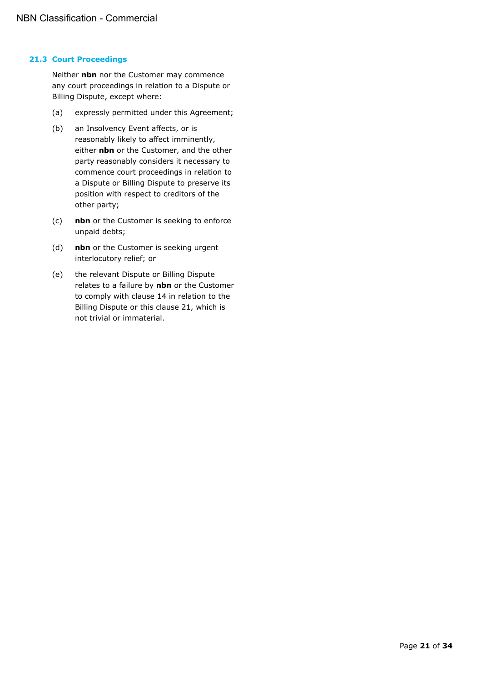#### <span id="page-20-0"></span>**21.3 Court Proceedings**

Neither **nbn** nor the Customer may commence any court proceedings in relation to a Dispute or Billing Dispute, except where:

- (a) expressly permitted under this Agreement;
- (b) an Insolvency Event affects, or is reasonably likely to affect imminently, either **nbn** or the Customer, and the other party reasonably considers it necessary to commence court proceedings in relation to a Dispute or Billing Dispute to preserve its position with respect to creditors of the other party;
- (c) **nbn** or the Customer is seeking to enforce unpaid debts;
- (d) **nbn** or the Customer is seeking urgent interlocutory relief; or
- (e) the relevant Dispute or Billing Dispute relates to a failure by **nbn** or the Customer to comply with clause [14](#page-14-0) in relation to the Billing Dispute or this clause [21,](#page-19-2) which is not trivial or immaterial.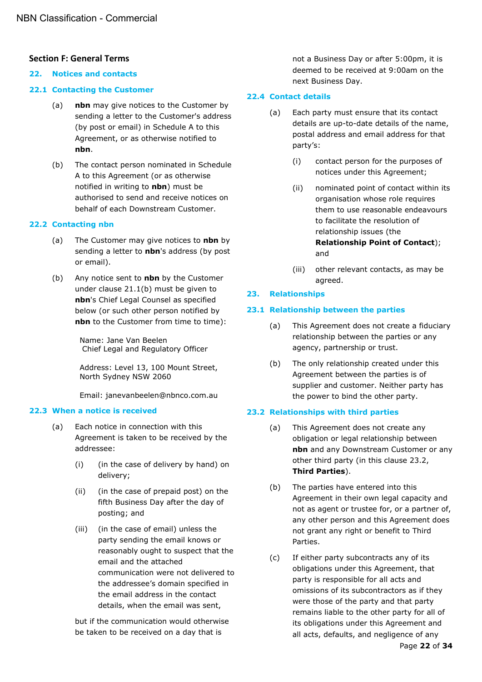# <span id="page-21-0"></span>**Section F: General Terms**

#### <span id="page-21-1"></span>**22. Notices and contacts**

#### <span id="page-21-2"></span>**22.1 Contacting the Customer**

- (a) **nbn** may give notices to the Customer by sending a letter to the Customer's address (by post or email) in Schedule A to this Agreement, or as otherwise notified to **nbn**.
- (b) The contact person nominated in Schedule A to this Agreement (or as otherwise notified in writing to **nbn**) must be authorised to send and receive notices on behalf of each Downstream Customer.

#### <span id="page-21-3"></span>**22.2 Contacting nbn**

- (a) The Customer may give notices to **nbn** by sending a letter to **nbn**'s address (by post or email).
- (b) Any notice sent to **nbn** by the Customer under clause [21.1\(b\)](#page-19-6) must be given to **nbn**'s Chief Legal Counsel as specified below (or such other person notified by **nbn** to the Customer from time to time):

Name: Jane Van Beelen Chief Legal and Regulatory Officer

Address: Level 13, 100 Mount Street, North Sydney NSW 2060

Email: janevanbeelen@nbnco.com.au

#### <span id="page-21-4"></span>**22.3 When a notice is received**

- (a) Each notice in connection with this Agreement is taken to be received by the addressee:
	- (i) (in the case of delivery by hand) on delivery;
	- (ii) (in the case of prepaid post) on the fifth Business Day after the day of posting; and
	- (iii) (in the case of email) unless the party sending the email knows or reasonably ought to suspect that the email and the attached communication were not delivered to the addressee's domain specified in the email address in the contact details, when the email was sent,

but if the communication would otherwise be taken to be received on a day that is

not a Business Day or after 5:00pm, it is deemed to be received at 9:00am on the next Business Day.

#### <span id="page-21-5"></span>**22.4 Contact details**

- <span id="page-21-9"></span>(a) Each party must ensure that its contact details are up-to-date details of the name, postal address and email address for that party's:
	- (i) contact person for the purposes of notices under this Agreement;
	- (ii) nominated point of contact within its organisation whose role requires them to use reasonable endeavours to facilitate the resolution of relationship issues (the **Relationship Point of Contact**); and
	- (iii) other relevant contacts, as may be agreed.

#### <span id="page-21-6"></span>**23. Relationships**

#### <span id="page-21-7"></span>**23.1 Relationship between the parties**

- (a) This Agreement does not create a fiduciary relationship between the parties or any agency, partnership or trust.
- (b) The only relationship created under this Agreement between the parties is of supplier and customer. Neither party has the power to bind the other party.

#### <span id="page-21-8"></span>**23.2 Relationships with third parties**

- (a) This Agreement does not create any obligation or legal relationship between **nbn** and any Downstream Customer or any other third party (in this clause [23.2,](#page-21-8) **Third Parties**).
- (b) The parties have entered into this Agreement in their own legal capacity and not as agent or trustee for, or a partner of, any other person and this Agreement does not grant any right or benefit to Third Parties.
- (c) If either party subcontracts any of its obligations under this Agreement, that party is responsible for all acts and omissions of its subcontractors as if they were those of the party and that party remains liable to the other party for all of its obligations under this Agreement and all acts, defaults, and negligence of any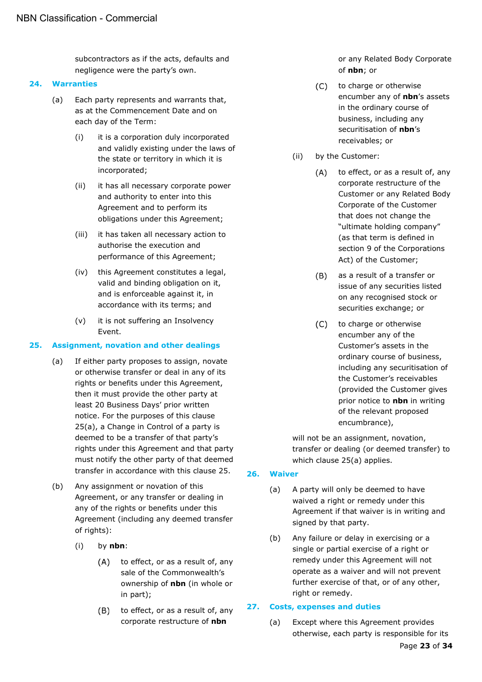subcontractors as if the acts, defaults and negligence were the party's own.

#### <span id="page-22-0"></span>**24. Warranties**

- (a) Each party represents and warrants that, as at the Commencement Date and on each day of the Term:
	- (i) it is a corporation duly incorporated and validly existing under the laws of the state or territory in which it is incorporated;
	- (ii) it has all necessary corporate power and authority to enter into this Agreement and to perform its obligations under this Agreement;
	- (iii) it has taken all necessary action to authorise the execution and performance of this Agreement;
	- (iv) this Agreement constitutes a legal, valid and binding obligation on it, and is enforceable against it, in accordance with its terms; and
	- (v) it is not suffering an Insolvency Event.

# <span id="page-22-4"></span><span id="page-22-1"></span>**25. Assignment, novation and other dealings**

- (a) If either party proposes to assign, novate or otherwise transfer or deal in any of its rights or benefits under this Agreement, then it must provide the other party at least 20 Business Days' prior written notice. For the purposes of this clause [25\(a\),](#page-22-4) a Change in Control of a party is deemed to be a transfer of that party's rights under this Agreement and that party must notify the other party of that deemed transfer in accordance with this clause [25.](#page-22-1)
- (b) Any assignment or novation of this Agreement, or any transfer or dealing in any of the rights or benefits under this Agreement (including any deemed transfer of rights):
	- (i) by **nbn**:
		- to effect, or as a result of, any  $(A)$ sale of the Commonwealth's ownership of **nbn** (in whole or in part);
		- to effect, or as a result of, any  $(B)$ corporate restructure of **nbn**

or any Related Body Corporate of **nbn**; or

- $(C)$ to charge or otherwise encumber any of **nbn**'s assets in the ordinary course of business, including any securitisation of **nbn**'s receivables; or
- (ii) by the Customer:
	- $(A)$ to effect, or as a result of, any corporate restructure of the Customer or any Related Body Corporate of the Customer that does not change the "ultimate holding company" (as that term is defined in section 9 of the Corporations Act) of the Customer;
	- $(B)$ as a result of a transfer or issue of any securities listed on any recognised stock or securities exchange; or
	- $(C)$ to charge or otherwise encumber any of the Customer's assets in the ordinary course of business, including any securitisation of the Customer's receivables (provided the Customer gives prior notice to **nbn** in writing of the relevant proposed encumbrance),

will not be an assignment, novation, transfer or dealing (or deemed transfer) to which clause [25\(a\)](#page-22-4) applies.

- <span id="page-22-2"></span>**26. Waiver**
	- (a) A party will only be deemed to have waived a right or remedy under this Agreement if that waiver is in writing and signed by that party.
	- (b) Any failure or delay in exercising or a single or partial exercise of a right or remedy under this Agreement will not operate as a waiver and will not prevent further exercise of that, or of any other, right or remedy.

# <span id="page-22-3"></span>**27. Costs, expenses and duties**

(a) Except where this Agreement provides otherwise, each party is responsible for its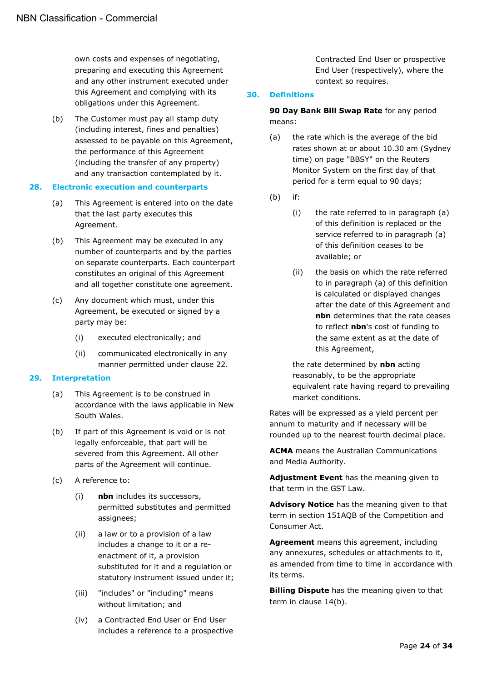own costs and expenses of negotiating, preparing and executing this Agreement and any other instrument executed under this Agreement and complying with its obligations under this Agreement.

(b) The Customer must pay all stamp duty (including interest, fines and penalties) assessed to be payable on this Agreement, the performance of this Agreement (including the transfer of any property) and any transaction contemplated by it.

#### <span id="page-23-0"></span>**28. Electronic execution and counterparts**

- (a) This Agreement is entered into on the date that the last party executes this Agreement.
- (b) This Agreement may be executed in any number of counterparts and by the parties on separate counterparts. Each counterpart constitutes an original of this Agreement and all together constitute one agreement.
- (c) Any document which must, under this Agreement, be executed or signed by a party may be:
	- (i) executed electronically; and
	- (ii) communicated electronically in any manner permitted under clause [22.](#page-21-1)

#### <span id="page-23-1"></span>**29. Interpretation**

- (a) This Agreement is to be construed in accordance with the laws applicable in New South Wales.
- (b) If part of this Agreement is void or is not legally enforceable, that part will be severed from this Agreement. All other parts of the Agreement will continue.
- (c) A reference to:
	- (i) **nbn** includes its successors, permitted substitutes and permitted assignees;
	- (ii) a law or to a provision of a law includes a change to it or a reenactment of it, a provision substituted for it and a regulation or statutory instrument issued under it;
	- (iii) "includes" or "including" means without limitation; and
	- (iv) a Contracted End User or End User includes a reference to a prospective

Contracted End User or prospective End User (respectively), where the context so requires.

#### <span id="page-23-2"></span>**30. Definitions**

**90 Day Bank Bill Swap Rate** for any period means:

- (a) the rate which is the average of the bid rates shown at or about 10.30 am (Sydney time) on page "BBSY" on the Reuters Monitor System on the first day of that period for a term equal to 90 days;
- (b) if:
	- (i) the rate referred to in paragraph (a) of this definition is replaced or the service referred to in paragraph (a) of this definition ceases to be available; or
	- (ii) the basis on which the rate referred to in paragraph (a) of this definition is calculated or displayed changes after the date of this Agreement and **nbn** determines that the rate ceases to reflect **nbn**'s cost of funding to the same extent as at the date of this Agreement,

the rate determined by **nbn** acting reasonably, to be the appropriate equivalent rate having regard to prevailing market conditions.

Rates will be expressed as a yield percent per annum to maturity and if necessary will be rounded up to the nearest fourth decimal place.

**ACMA** means the Australian Communications and Media Authority.

**Adjustment Event** has the meaning given to that term in the GST Law.

**Advisory Notice** has the meaning given to that term in section 151AQB of the Competition and Consumer Act.

**Agreement** means this agreement, including any annexures, schedules or attachments to it, as amended from time to time in accordance with its terms.

**Billing Dispute** has the meaning given to that term in clause [14\(b\).](#page-14-7)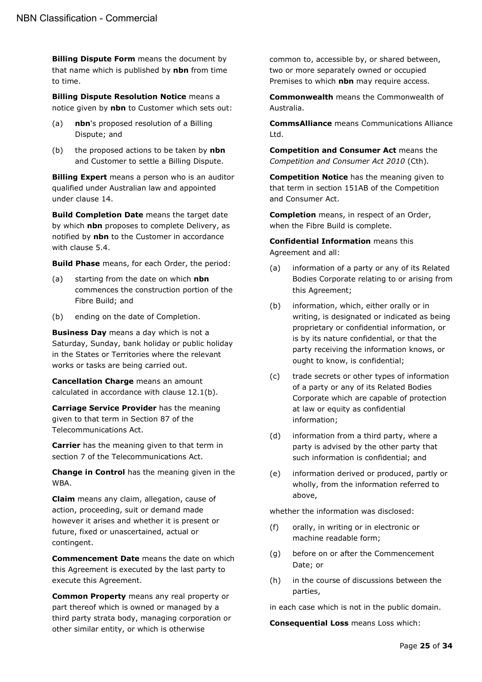**Billing Dispute Form** means the document by that name which is published by **nbn** from time to time.

**Billing Dispute Resolution Notice** means a notice given by **nbn** to Customer which sets out:

- (a) **nbn**'s proposed resolution of a Billing Dispute; and
- (b) the proposed actions to be taken by **nbn** and Customer to settle a Billing Dispute.

**Billing Expert** means a person who is an auditor qualified under Australian law and appointed under clause [14.](#page-14-0)

**Build Completion Date** means the target date by which **nbn** proposes to complete Delivery, as notified by **nbn** to the Customer in accordance with clause [5.4.](#page-8-5)

**Build Phase** means, for each Order, the period:

- (a) starting from the date on which **nbn** commences the construction portion of the Fibre Build; and
- (b) ending on the date of Completion.

**Business Day** means a day which is not a Saturday, Sunday, bank holiday or public holiday in the States or Territories where the relevant works or tasks are being carried out.

**Cancellation Charge** means an amount calculated in accordance with clause [12.1\(b\).](#page-13-6)

**Carriage Service Provider** has the meaning given to that term in Section 87 of the Telecommunications Act.

**Carrier** has the meaning given to that term in section 7 of the Telecommunications Act.

**Change in Control** has the meaning given in the WBA.

**Claim** means any claim, allegation, cause of action, proceeding, suit or demand made however it arises and whether it is present or future, fixed or unascertained, actual or contingent.

**Commencement Date** means the date on which this Agreement is executed by the last party to execute this Agreement.

**Common Property** means any real property or part thereof which is owned or managed by a third party strata body, managing corporation or other similar entity, or which is otherwise

common to, accessible by, or shared between, two or more separately owned or occupied Premises to which **nbn** may require access.

**Commonwealth** means the Commonwealth of Australia.

**CommsAlliance** means Communications Alliance Ltd.

**Competition and Consumer Act** means the *Competition and Consumer Act 2010* (Cth)*.* 

**Competition Notice** has the meaning given to that term in section 151AB of the Competition and Consumer Act.

**Completion** means, in respect of an Order, when the Fibre Build is complete.

**Confidential Information** means this Agreement and all:

- (a) information of a party or any of its Related Bodies Corporate relating to or arising from this Agreement;
- (b) information, which, either orally or in writing, is designated or indicated as being proprietary or confidential information, or is by its nature confidential, or that the party receiving the information knows, or ought to know, is confidential;
- (c) trade secrets or other types of information of a party or any of its Related Bodies Corporate which are capable of protection at law or equity as confidential information;
- (d) information from a third party, where a party is advised by the other party that such information is confidential; and
- (e) information derived or produced, partly or wholly, from the information referred to above,

whether the information was disclosed:

- (f) orally, in writing or in electronic or machine readable form;
- (g) before on or after the Commencement Date; or
- (h) in the course of discussions between the parties,

in each case which is not in the public domain.

**Consequential Loss** means Loss which: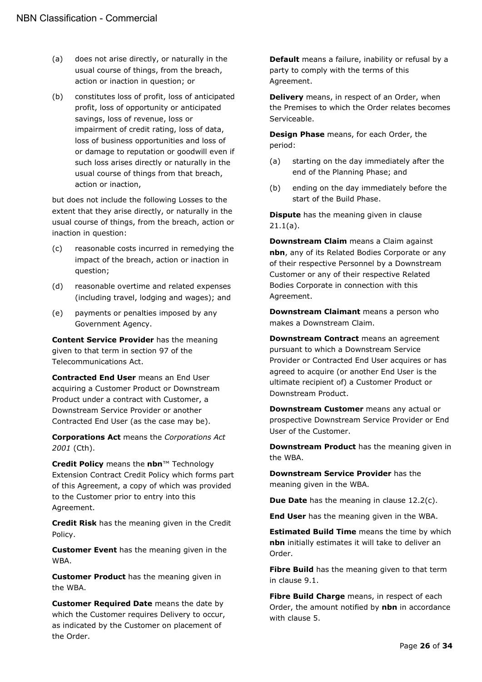- (a) does not arise directly, or naturally in the usual course of things, from the breach, action or inaction in question; or
- (b) constitutes loss of profit, loss of anticipated profit, loss of opportunity or anticipated savings, loss of revenue, loss or impairment of credit rating, loss of data, loss of business opportunities and loss of or damage to reputation or goodwill even if such loss arises directly or naturally in the usual course of things from that breach, action or inaction,

but does not include the following Losses to the extent that they arise directly, or naturally in the usual course of things, from the breach, action or inaction in question:

- (c) reasonable costs incurred in remedying the impact of the breach, action or inaction in question;
- (d) reasonable overtime and related expenses (including travel, lodging and wages); and
- (e) payments or penalties imposed by any Government Agency.

**Content Service Provider** has the meaning given to that term in section 97 of the Telecommunications Act.

**Contracted End User** means an End User acquiring a Customer Product or Downstream Product under a contract with Customer, a Downstream Service Provider or another Contracted End User (as the case may be).

**Corporations Act** means the *Corporations Act 2001* (Cth).

**Credit Policy** means the **nbn**™ Technology Extension Contract Credit Policy which forms part of this Agreement, a copy of which was provided to the Customer prior to entry into this Agreement.

**Credit Risk** has the meaning given in the Credit Policy.

**Customer Event** has the meaning given in the WBA.

**Customer Product** has the meaning given in the WBA.

**Customer Required Date** means the date by which the Customer requires Delivery to occur, as indicated by the Customer on placement of the Order.

**Default** means a failure, inability or refusal by a party to comply with the terms of this Agreement.

**Delivery** means, in respect of an Order, when the Premises to which the Order relates becomes Serviceable.

**Design Phase** means, for each Order, the period:

- (a) starting on the day immediately after the end of the Planning Phase; and
- (b) ending on the day immediately before the start of the Build Phase.

**Dispute** has the meaning given in clause [21.1\(a\).](#page-19-7)

**Downstream Claim** means a Claim against **nbn**, any of its Related Bodies Corporate or any of their respective Personnel by a Downstream Customer or any of their respective Related Bodies Corporate in connection with this Agreement.

**Downstream Claimant** means a person who makes a Downstream Claim.

**Downstream Contract** means an agreement pursuant to which a Downstream Service Provider or Contracted End User acquires or has agreed to acquire (or another End User is the ultimate recipient of) a Customer Product or Downstream Product.

**Downstream Customer** means any actual or prospective Downstream Service Provider or End User of the Customer.

**Downstream Product** has the meaning given in the WBA.

**Downstream Service Provider** has the meaning given in the WBA.

**Due Date** has the meaning in clause [12.2\(c\).](#page-13-7)

**End User** has the meaning given in the WBA.

**Estimated Build Time** means the time by which **nbn** initially estimates it will take to deliver an Order.

**Fibre Build** has the meaning given to that term in clause [9.1.](#page-11-2)

**Fibre Build Charge** means, in respect of each Order, the amount notified by **nbn** in accordance with clause [5.](#page-8-10)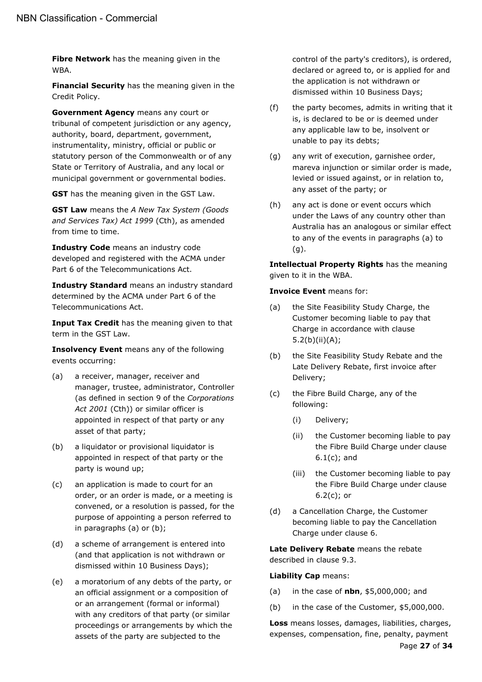**Fibre Network** has the meaning given in the WBA.

**Financial Security** has the meaning given in the Credit Policy.

**Government Agency** means any court or tribunal of competent jurisdiction or any agency, authority, board, department, government, instrumentality, ministry, official or public or statutory person of the Commonwealth or of any State or Territory of Australia, and any local or municipal government or governmental bodies.

**GST** has the meaning given in the GST Law.

**GST Law** means the *A New Tax System (Goods and Services Tax) Act 1999* (Cth), as amended from time to time.

**Industry Code** means an industry code developed and registered with the ACMA under Part 6 of the Telecommunications Act.

**Industry Standard** means an industry standard determined by the ACMA under Part 6 of the Telecommunications Act.

**Input Tax Credit** has the meaning given to that term in the GST Law.

**Insolvency Event** means any of the following events occurring:

- (a) a receiver, manager, receiver and manager, trustee, administrator, Controller (as defined in section 9 of the *Corporations Act 2001* (Cth)) or similar officer is appointed in respect of that party or any asset of that party;
- (b) a liquidator or provisional liquidator is appointed in respect of that party or the party is wound up;
- (c) an application is made to court for an order, or an order is made, or a meeting is convened, or a resolution is passed, for the purpose of appointing a person referred to in paragraphs (a) or (b);
- (d) a scheme of arrangement is entered into (and that application is not withdrawn or dismissed within 10 Business Days);
- (e) a moratorium of any debts of the party, or an official assignment or a composition of or an arrangement (formal or informal) with any creditors of that party (or similar proceedings or arrangements by which the assets of the party are subjected to the

control of the party's creditors), is ordered, declared or agreed to, or is applied for and the application is not withdrawn or dismissed within 10 Business Days;

- (f) the party becomes, admits in writing that it is, is declared to be or is deemed under any applicable law to be, insolvent or unable to pay its debts;
- (g) any writ of execution, garnishee order, mareva injunction or similar order is made, levied or issued against, or in relation to, any asset of the party; or
- (h) any act is done or event occurs which under the Laws of any country other than Australia has an analogous or similar effect to any of the events in paragraphs (a) to (g).

**Intellectual Property Rights** has the meaning given to it in the WBA.

**Invoice Event** means for:

- (a) the Site Feasibility Study Charge, the Customer becoming liable to pay that Charge in accordance with clause [5.2\(b\)\(ii\)\(A\);](#page-8-11)
- (b) the Site Feasibility Study Rebate and the Late Delivery Rebate, first invoice after Delivery;
- (c) the Fibre Build Charge, any of the following:
	- (i) Delivery;
	- (ii) the Customer becoming liable to pay the Fibre Build Charge under clause [6.1\(c\);](#page-9-11) and
	- (iii) the Customer becoming liable to pay the Fibre Build Charge under clause [6.2\(c\);](#page-9-12) or
- (d) a Cancellation Charge, the Customer becoming liable to pay the Cancellation Charge under clause [6.](#page-9-1)

**Late Delivery Rebate** means the rebate described in clause [9.3.](#page-11-4)

#### **Liability Cap** means:

- (a) in the case of **nbn**, \$5,000,000; and
- (b) in the case of the Customer, \$5,000,000.

**Loss** means losses, damages, liabilities, charges, expenses, compensation, fine, penalty, payment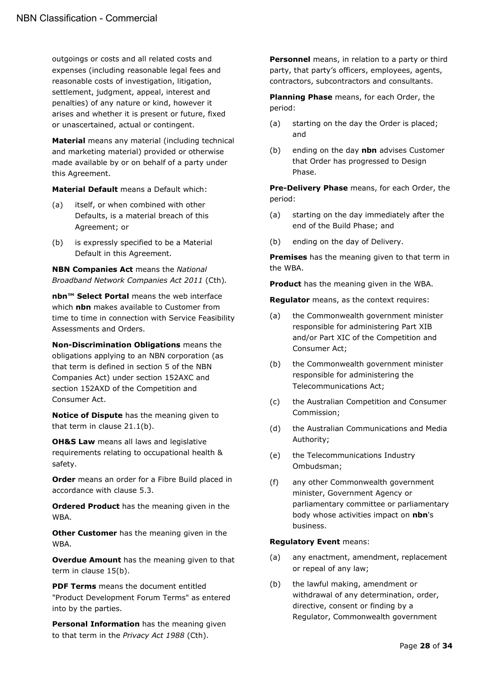outgoings or costs and all related costs and expenses (including reasonable legal fees and reasonable costs of investigation, litigation, settlement, judgment, appeal, interest and penalties) of any nature or kind, however it arises and whether it is present or future, fixed or unascertained, actual or contingent.

**Material** means any material (including technical and marketing material) provided or otherwise made available by or on behalf of a party under this Agreement.

**Material Default** means a Default which:

- (a) itself, or when combined with other Defaults, is a material breach of this Agreement; or
- (b) is expressly specified to be a Material Default in this Agreement.

**NBN Companies Act** means the *National Broadband Network Companies Act 2011* (Cth)*.*

**nbn™ Select Portal** means the web interface which **nbn** makes available to Customer from time to time in connection with Service Feasibility Assessments and Orders.

**Non-Discrimination Obligations** means the obligations applying to an NBN corporation (as that term is defined in section 5 of the NBN Companies Act) under section 152AXC and section 152AXD of the Competition and Consumer Act.

**Notice of Dispute** has the meaning given to that term in clause [21.1\(b\).](#page-19-6)

**OH&S Law** means all laws and legislative requirements relating to occupational health & safety.

**Order** means an order for a Fibre Build placed in accordance with clause [5.3.](#page-8-4)

**Ordered Product** has the meaning given in the WBA.

**Other Customer** has the meaning given in the WBA.

**Overdue Amount** has the meaning given to that term in clause [15\(b\).](#page-15-4)

**PDF Terms** means the document entitled "Product Development Forum Terms" as entered into by the parties.

**Personal Information** has the meaning given to that term in the *Privacy Act 1988* (Cth).

**Personnel** means, in relation to a party or third party, that party's officers, employees, agents, contractors, subcontractors and consultants.

**Planning Phase** means, for each Order, the period:

- (a) starting on the day the Order is placed; and
- (b) ending on the day **nbn** advises Customer that Order has progressed to Design Phase.

**Pre-Delivery Phase** means, for each Order, the period:

- (a) starting on the day immediately after the end of the Build Phase; and
- (b) ending on the day of Delivery.

**Premises** has the meaning given to that term in the WBA.

**Product** has the meaning given in the WBA.

**Regulator** means, as the context requires:

- (a) the Commonwealth government minister responsible for administering Part XIB and/or Part XIC of the Competition and Consumer Act;
- (b) the Commonwealth government minister responsible for administering the Telecommunications Act;
- (c) the Australian Competition and Consumer Commission;
- (d) the Australian Communications and Media Authority;
- (e) the Telecommunications Industry Ombudsman;
- (f) any other Commonwealth government minister, Government Agency or parliamentary committee or parliamentary body whose activities impact on **nbn**'s business.

#### **Regulatory Event** means:

- (a) any enactment, amendment, replacement or repeal of any law;
- (b) the lawful making, amendment or withdrawal of any determination, order, directive, consent or finding by a Regulator, Commonwealth government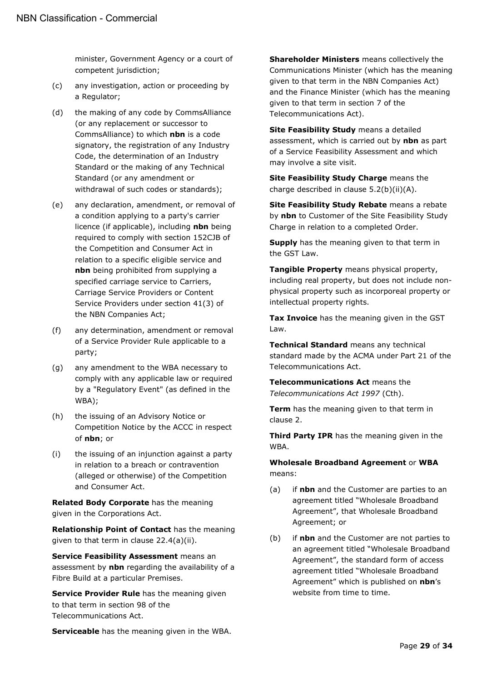minister, Government Agency or a court of competent jurisdiction;

- (c) any investigation, action or proceeding by a Regulator;
- (d) the making of any code by CommsAlliance (or any replacement or successor to CommsAlliance) to which **nbn** is a code signatory, the registration of any Industry Code, the determination of an Industry Standard or the making of any Technical Standard (or any amendment or withdrawal of such codes or standards);
- (e) any declaration, amendment, or removal of a condition applying to a party's carrier licence (if applicable), including **nbn** being required to comply with section 152CJB of the Competition and Consumer Act in relation to a specific eligible service and **nbn** being prohibited from supplying a specified carriage service to Carriers, Carriage Service Providers or Content Service Providers under section 41(3) of the NBN Companies Act;
- (f) any determination, amendment or removal of a Service Provider Rule applicable to a party;
- (g) any amendment to the WBA necessary to comply with any applicable law or required by a "Regulatory Event" (as defined in the WBA);
- (h) the issuing of an Advisory Notice or Competition Notice by the ACCC in respect of **nbn**; or
- (i) the issuing of an injunction against a party in relation to a breach or contravention (alleged or otherwise) of the Competition and Consumer Act.

**Related Body Corporate** has the meaning given in the Corporations Act.

**Relationship Point of Contact** has the meaning given to that term in clause [22.4\(a\)\(ii\).](#page-21-9)

**Service Feasibility Assessment** means an assessment by **nbn** regarding the availability of a Fibre Build at a particular Premises.

**Service Provider Rule** has the meaning given to that term in section 98 of the Telecommunications Act.

**Serviceable** has the meaning given in the WBA.

**Shareholder Ministers** means collectively the Communications Minister (which has the meaning given to that term in the NBN Companies Act) and the Finance Minister (which has the meaning given to that term in section 7 of the Telecommunications Act).

**Site Feasibility Study** means a detailed assessment, which is carried out by **nbn** as part of a Service Feasibility Assessment and which may involve a site visit.

**Site Feasibility Study Charge** means the charge described in clause [5.2\(b\)\(ii\)\(A\).](#page-8-11)

**Site Feasibility Study Rebate** means a rebate by **nbn** to Customer of the Site Feasibility Study Charge in relation to a completed Order.

**Supply** has the meaning given to that term in the GST Law.

**Tangible Property** means physical property, including real property, but does not include nonphysical property such as incorporeal property or intellectual property rights.

**Tax Invoice** has the meaning given in the GST Law.

**Technical Standard** means any technical standard made by the ACMA under Part 21 of the Telecommunications Act.

**Telecommunications Act** means the *Telecommunications Act 1997* (Cth).

**Term** has the meaning given to that term in clause [2.](#page-6-2)

**Third Party IPR** has the meaning given in the WBA.

**Wholesale Broadband Agreement** or **WBA** means:

- <span id="page-28-0"></span>(a) if **nbn** and the Customer are parties to an agreement titled "Wholesale Broadband Agreement", that Wholesale Broadband Agreement; or
- <span id="page-28-1"></span>(b) if **nbn** and the Customer are not parties to an agreement titled "Wholesale Broadband Agreement", the standard form of access agreement titled "Wholesale Broadband Agreement" which is published on **nbn**'s website from time to time.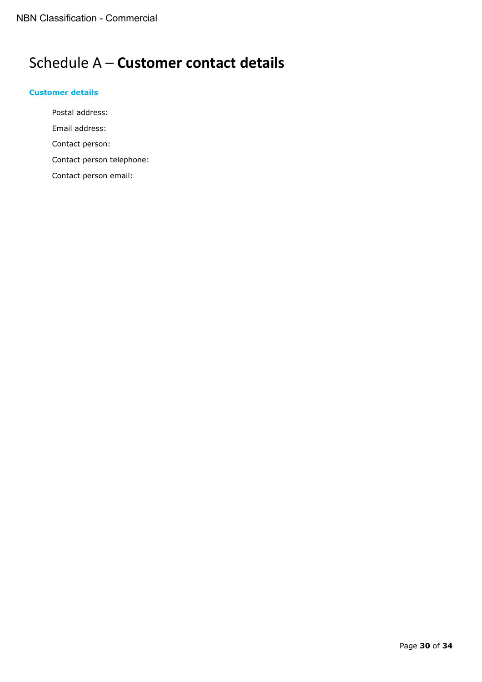# <span id="page-29-0"></span>Schedule A – **Customer contact details**

### <span id="page-29-1"></span>**Customer details**

Postal address: Email address: Contact person: Contact person telephone: Contact person email: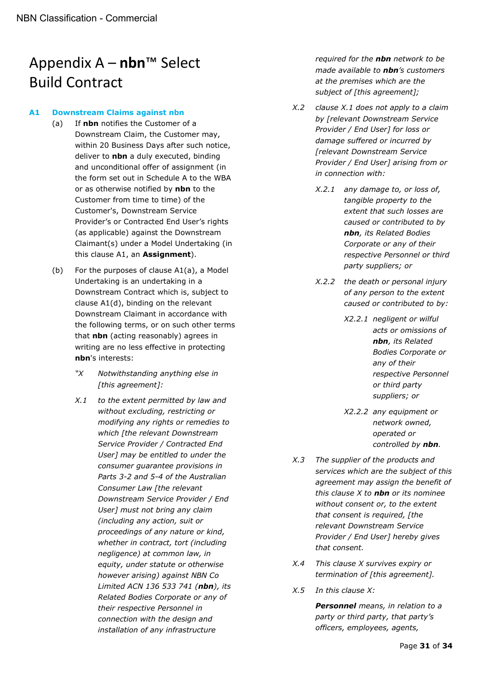# <span id="page-30-0"></span>Appendix A – **nbn**™ Select Build Contract

#### <span id="page-30-2"></span><span id="page-30-1"></span>**A1 Downstream Claims against nbn**

- (a) If **nbn** notifies the Customer of a Downstream Claim, the Customer may, within 20 Business Days after such notice, deliver to **nbn** a duly executed, binding and unconditional offer of assignment (in the form set out in Schedule A to the WBA or as otherwise notified by **nbn** to the Customer from time to time) of the Customer's, Downstream Service Provider's or Contracted End User's rights (as applicable) against the Downstream Claimant(s) under a Model Undertaking (in this clause A1, an **Assignment**).
- (b) For the purposes of clause A[1\(a\),](#page-30-2) a Model Undertaking is an undertaking in a Downstream Contract which is, subject to clause A[1\(d\),](#page-31-0) binding on the relevant Downstream Claimant in accordance with the following terms, or on such other terms that **nbn** (acting reasonably) agrees in writing are no less effective in protecting **nbn**'s interests:
	- *"X Notwithstanding anything else in [this agreement]:*
	- *X.1 to the extent permitted by law and without excluding, restricting or modifying any rights or remedies to which [the relevant Downstream Service Provider / Contracted End User] may be entitled to under the consumer guarantee provisions in Parts 3-2 and 5-4 of the Australian Consumer Law [the relevant Downstream Service Provider / End User] must not bring any claim (including any action, suit or proceedings of any nature or kind, whether in contract, tort (including negligence) at common law, in equity, under statute or otherwise however arising) against NBN Co Limited ACN 136 533 741 (nbn), its Related Bodies Corporate or any of their respective Personnel in connection with the design and installation of any infrastructure*

*required for the nbn network to be made available to nbn's customers at the premises which are the subject of [this agreement];*

- *X.2 clause X.1 does not apply to a claim by [relevant Downstream Service Provider / End User] for loss or damage suffered or incurred by [relevant Downstream Service Provider / End User] arising from or in connection with:*
	- *X.2.1 any damage to, or loss of, tangible property to the extent that such losses are caused or contributed to by nbn, its Related Bodies Corporate or any of their respective Personnel or third party suppliers; or*
	- *X.2.2 the death or personal injury of any person to the extent caused or contributed to by:*
		- *X2.2.1 negligent or wilful acts or omissions of nbn, its Related Bodies Corporate or any of their respective Personnel or third party suppliers; or*
		- *X2.2.2 any equipment or network owned, operated or controlled by nbn.*
- *X.3 The supplier of the products and services which are the subject of this agreement may assign the benefit of this clause X to nbn or its nominee without consent or, to the extent that consent is required, [the relevant Downstream Service Provider / End User] hereby gives that consent.*
- *X.4 This clause X survives expiry or termination of [this agreement].*
- *X.5 In this clause X:*

*Personnel means, in relation to a party or third party, that party's officers, employees, agents,*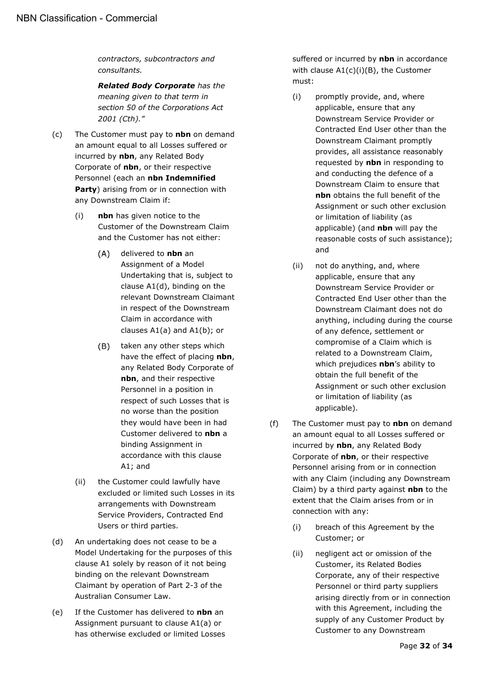*contractors, subcontractors and consultants.*

*Related Body Corporate has the meaning given to that term in section 50 of the Corporations Act 2001 (Cth)."*

- <span id="page-31-2"></span>(c) The Customer must pay to **nbn** on demand an amount equal to all Losses suffered or incurred by **nbn**, any Related Body Corporate of **nbn**, or their respective Personnel (each an **nbn Indemnified Party**) arising from or in connection with any Downstream Claim if:
	- (i) **nbn** has given notice to the Customer of the Downstream Claim and the Customer has not either:
		- $(A)$ delivered to **nbn** an Assignment of a Model Undertaking that is, subject to clause A[1\(d\),](#page-31-0) binding on the relevant Downstream Claimant in respect of the Downstream Claim in accordance with clauses A[1\(a\)](#page-28-0) and A[1\(b\);](#page-28-1) or
		- $(B)$ taken any other steps which have the effect of placing **nbn**, any Related Body Corporate of **nbn**, and their respective Personnel in a position in respect of such Losses that is no worse than the position they would have been in had Customer delivered to **nbn** a binding Assignment in accordance with this clause A1; and
	- (ii) the Customer could lawfully have excluded or limited such Losses in its arrangements with Downstream Service Providers, Contracted End Users or third parties.
- <span id="page-31-1"></span><span id="page-31-0"></span>(d) An undertaking does not cease to be a Model Undertaking for the purposes of this clause A1 solely by reason of it not being binding on the relevant Downstream Claimant by operation of Part 2-3 of the Australian Consumer Law.
- (e) If the Customer has delivered to **nbn** an Assignment pursuant to clause A[1\(a\)](#page-28-0) or has otherwise excluded or limited Losses

suffered or incurred by **nbn** in accordance with clause A[1\(c\)\(i\)\(B\),](#page-31-1) the Customer must:

- (i) promptly provide, and, where applicable, ensure that any Downstream Service Provider or Contracted End User other than the Downstream Claimant promptly provides, all assistance reasonably requested by **nbn** in responding to and conducting the defence of a Downstream Claim to ensure that **nbn** obtains the full benefit of the Assignment or such other exclusion or limitation of liability (as applicable) (and **nbn** will pay the reasonable costs of such assistance); and
- (ii) not do anything, and, where applicable, ensure that any Downstream Service Provider or Contracted End User other than the Downstream Claimant does not do anything, including during the course of any defence, settlement or compromise of a Claim which is related to a Downstream Claim, which prejudices **nbn**'s ability to obtain the full benefit of the Assignment or such other exclusion or limitation of liability (as applicable).
- <span id="page-31-3"></span>(f) The Customer must pay to **nbn** on demand an amount equal to all Losses suffered or incurred by **nbn**, any Related Body Corporate of **nbn**, or their respective Personnel arising from or in connection with any Claim (including any Downstream Claim) by a third party against **nbn** to the extent that the Claim arises from or in connection with any:
	- (i) breach of this Agreement by the Customer; or
	- (ii) negligent act or omission of the Customer, its Related Bodies Corporate, any of their respective Personnel or third party suppliers arising directly from or in connection with this Agreement, including the supply of any Customer Product by Customer to any Downstream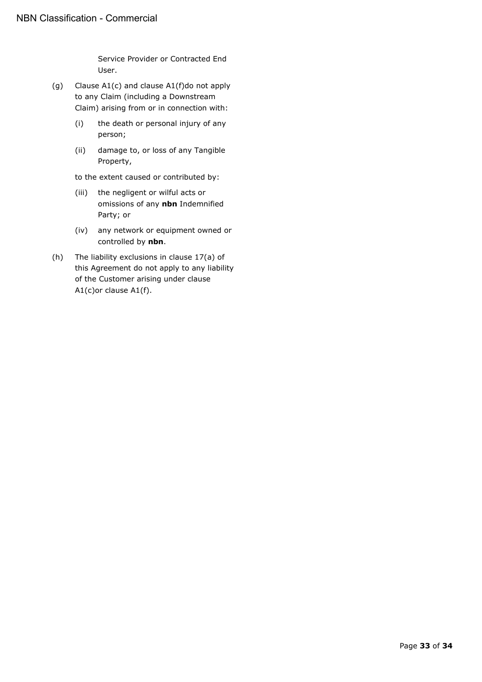Service Provider or Contracted End User.

- (g) Clause A[1\(c\)](#page-31-2) and clause A[1\(f\)d](#page-31-3)o not apply to any Claim (including a Downstream Claim) arising from or in connection with:
	- (i) the death or personal injury of any person;
	- (ii) damage to, or loss of any Tangible Property,

to the extent caused or contributed by:

- (iii) the negligent or wilful acts or omissions of any **nbn** Indemnified Party; or
- (iv) any network or equipment owned or controlled by **nbn**.
- (h) The liability exclusions in clause [17\(a\)](#page-16-4) of this Agreement do not apply to any liability of the Customer arising under clause A[1\(c\)o](#page-31-2)r clause A[1\(f\).](#page-31-3)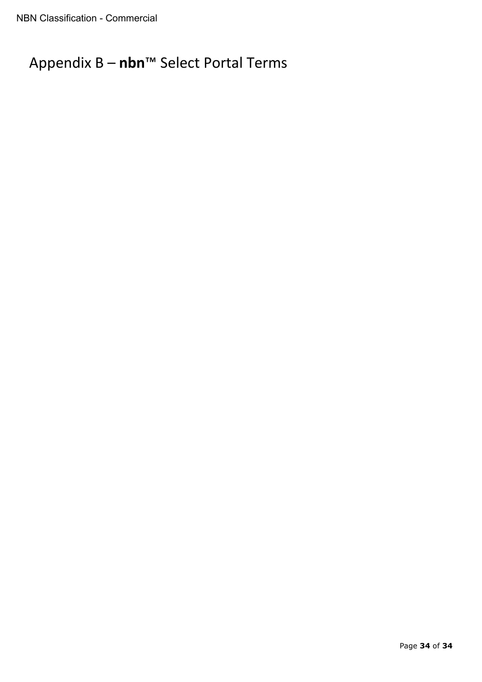# <span id="page-33-0"></span>Appendix B – **nbn**™ Select Portal Terms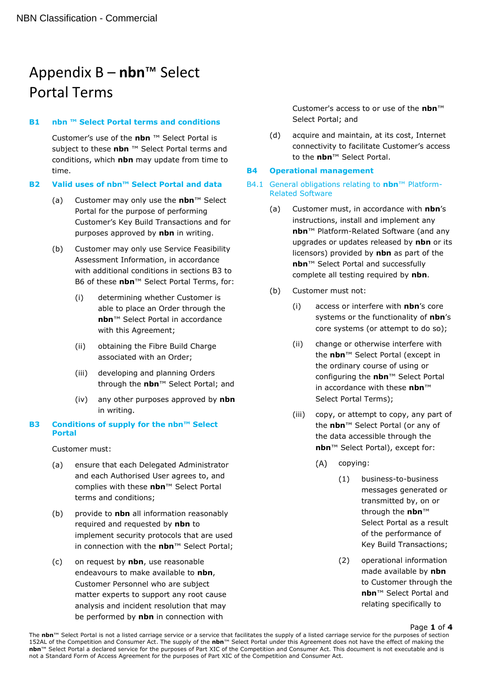# Appendix B – **nbn**™ Select Portal Terms

#### **B1 nbn ™ Select Portal terms and conditions**

Customer's use of the **nbn** ™ Select Portal is subject to these **nbn** ™ Select Portal terms and conditions, which **nbn** may update from time to time.

#### **B2 Valid uses of nbn™ Select Portal and data**

- (a) Customer may only use the **nbn**™ Select Portal for the purpose of performing Customer's Key Build Transactions and for purposes approved by **nbn** in writing.
- (b) Customer may only use Service Feasibility Assessment Information, in accordance with additional conditions in sections [B3](#page-34-0) to [B6](#page-35-0) of these **nbn**™ Select Portal Terms, for:
	- (i) determining whether Customer is able to place an Order through the **nbn**™ Select Portal in accordance with this Agreement;
	- (ii) obtaining the Fibre Build Charge associated with an Order;
	- (iii) developing and planning Orders through the **nbn**™ Select Portal; and
	- (iv) any other purposes approved by **nbn** in writing.

#### <span id="page-34-0"></span>**B3 Conditions of supply for the nbn™ Select Portal**

Customer must:

- (a) ensure that each Delegated Administrator and each Authorised User agrees to, and complies with these **nbn**™ Select Portal terms and conditions;
- (b) provide to **nbn** all information reasonably required and requested by **nbn** to implement security protocols that are used in connection with the **nbn**™ Select Portal;
- (c) on request by **nbn**, use reasonable endeavours to make available to **nbn**, Customer Personnel who are subject matter experts to support any root cause analysis and incident resolution that may be performed by **nbn** in connection with

Customer's access to or use of the **nbn**™ Select Portal; and

(d) acquire and maintain, at its cost, Internet connectivity to facilitate Customer's access to the **nbn**™ Select Portal.

#### **B4 Operational management**

- B4.1 General obligations relating to **nbn**™ Platform-Related Software
	- (a) Customer must, in accordance with **nbn**'s instructions, install and implement any **nbn**™ Platform-Related Software (and any upgrades or updates released by **nbn** or its licensors) provided by **nbn** as part of the **nbn**™ Select Portal and successfully complete all testing required by **nbn**.
	- (b) Customer must not:
		- (i) access or interfere with **nbn**'s core systems or the functionality of **nbn**'s core systems (or attempt to do so);
		- (ii) change or otherwise interfere with the **nbn**™ Select Portal (except in the ordinary course of using or configuring the **nbn**™ Select Portal in accordance with these **nbn**™ Select Portal Terms);
		- (iii) copy, or attempt to copy, any part of the **nbn**™ Select Portal (or any of the data accessible through the **nbn**™ Select Portal), except for:
			- $(A)$ copying:
				- (1) business-to-business messages generated or transmitted by, on or through the **nbn**™ Select Portal as a result of the performance of Key Build Transactions;
				- (2) operational information made available by **nbn** to Customer through the **nbn**™ Select Portal and relating specifically to

#### Page **1** of **4**

The **nbn**™ Select Portal is not a listed carriage service or a service that facilitates the supply of a listed carriage service for the purposes of section 152AL of the Competition and Consumer Act. The supply of the **nbn**™ Select Portal under this Agreement does not have the effect of making the **nbn**™ Select Portal a declared service for the purposes of Part XIC of the Competition and Consumer Act. This document is not executable and is not a Standard Form of Access Agreement for the purposes of Part XIC of the Competition and Consumer Act.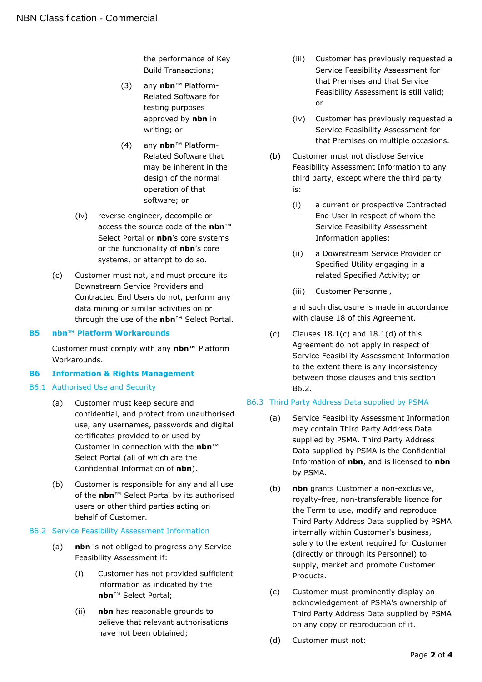the performance of Key Build Transactions;

- (3) any **nbn**™ Platform-Related Software for testing purposes approved by **nbn** in writing; or
- (4) any **nbn**™ Platform-Related Software that may be inherent in the design of the normal operation of that software; or
- (iv) reverse engineer, decompile or access the source code of the **nbn**™ Select Portal or **nbn**'s core systems or the functionality of **nbn**'s core systems, or attempt to do so.
- (c) Customer must not, and must procure its Downstream Service Providers and Contracted End Users do not, perform any data mining or similar activities on or through the use of the **nbn**™ Select Portal.

#### **B5 nbn™ Platform Workarounds**

Customer must comply with any **nbn**™ Platform Workarounds.

# <span id="page-35-0"></span>**B6 Information & Rights Management**

#### B6.1 Authorised Use and Security

- (a) Customer must keep secure and confidential, and protect from unauthorised use, any usernames, passwords and digital certificates provided to or used by Customer in connection with the **nbn**™ Select Portal (all of which are the Confidential Information of **nbn**).
- (b) Customer is responsible for any and all use of the **nbn**™ Select Portal by its authorised users or other third parties acting on behalf of Customer.

#### <span id="page-35-1"></span>B6.2 Service Feasibility Assessment Information

- (a) **nbn** is not obliged to progress any Service Feasibility Assessment if:
	- (i) Customer has not provided sufficient information as indicated by the **nbn**™ Select Portal;
	- (ii) **nbn** has reasonable grounds to believe that relevant authorisations have not been obtained;
- (iii) Customer has previously requested a Service Feasibility Assessment for that Premises and that Service Feasibility Assessment is still valid; or
- (iv) Customer has previously requested a Service Feasibility Assessment for that Premises on multiple occasions.
- (b) Customer must not disclose Service Feasibility Assessment Information to any third party, except where the third party is:
	- (i) a current or prospective Contracted End User in respect of whom the Service Feasibility Assessment Information applies;
	- (ii) a Downstream Service Provider or Specified Utility engaging in a related Specified Activity; or
	- (iii) Customer Personnel,

and such disclosure is made in accordance with clause 18 of this Agreement.

(c) Clauses  $18.1(c)$  and  $18.1(d)$  of this Agreement do not apply in respect of Service Feasibility Assessment Information to the extent there is any inconsistency between those clauses and this section [B6.2.](#page-35-1)

#### <span id="page-35-2"></span>B6.3 Third Party Address Data supplied by PSMA

- (a) Service Feasibility Assessment Information may contain Third Party Address Data supplied by PSMA. Third Party Address Data supplied by PSMA is the Confidential Information of **nbn**, and is licensed to **nbn** by PSMA.
- (b) **nbn** grants Customer a non-exclusive, royalty-free, non-transferable licence for the Term to use, modify and reproduce Third Party Address Data supplied by PSMA internally within Customer's business, solely to the extent required for Customer (directly or through its Personnel) to supply, market and promote Customer Products.
- <span id="page-35-3"></span>(c) Customer must prominently display an acknowledgement of PSMA's ownership of Third Party Address Data supplied by PSMA on any copy or reproduction of it.
- (d) Customer must not: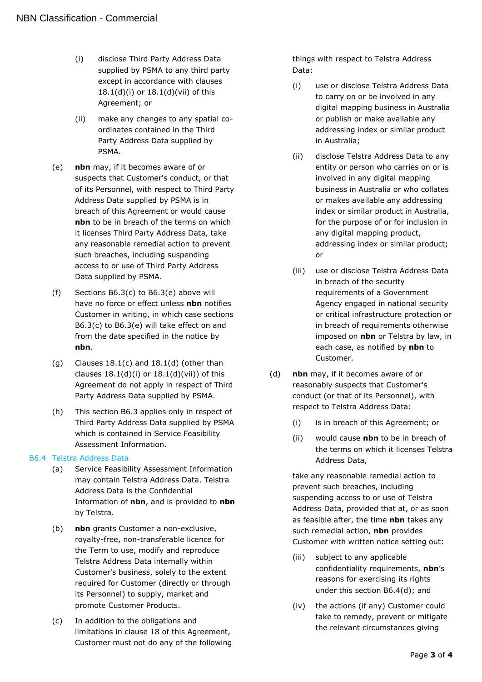- (i) disclose Third Party Address Data supplied by PSMA to any third party except in accordance with clauses 18.1(d)(i) or 18.1(d)(vii) of this Agreement; or
- (ii) make any changes to any spatial coordinates contained in the Third Party Address Data supplied by PSMA.
- <span id="page-36-0"></span>(e) **nbn** may, if it becomes aware of or suspects that Customer's conduct, or that of its Personnel, with respect to Third Party Address Data supplied by PSMA is in breach of this Agreement or would cause **nbn** to be in breach of the terms on which it licenses Third Party Address Data, take any reasonable remedial action to prevent such breaches, including suspending access to or use of Third Party Address Data supplied by PSMA.
- (f) Sections [B6.3](#page-35-2)[\(c\)](#page-35-3) to [B6.3](#page-35-2)[\(e\)](#page-36-0) above will have no force or effect unless **nbn** notifies Customer in writing, in which case sections [B6.3](#page-35-2)[\(c\)](#page-35-3) to [B6.3](#page-35-2)[\(e\)](#page-36-0) will take effect on and from the date specified in the notice by **nbn**.
- (g) Clauses  $18.1(c)$  and  $18.1(d)$  (other than clauses  $18.1(d)(i)$  or  $18.1(d)(vii)$  of this Agreement do not apply in respect of Third Party Address Data supplied by PSMA.
- (h) This section [B6.3](#page-35-2) applies only in respect of Third Party Address Data supplied by PSMA which is contained in Service Feasibility Assessment Information.

#### <span id="page-36-1"></span>B6.4 Telstra Address Data

- (a) Service Feasibility Assessment Information may contain Telstra Address Data. Telstra Address Data is the Confidential Information of **nbn**, and is provided to **nbn** by Telstra.
- (b) **nbn** grants Customer a non-exclusive, royalty-free, non-transferable licence for the Term to use, modify and reproduce Telstra Address Data internally within Customer's business, solely to the extent required for Customer (directly or through its Personnel) to supply, market and promote Customer Products.
- (c) In addition to the obligations and limitations in clause 18 of this Agreement, Customer must not do any of the following

things with respect to Telstra Address Data:

- (i) use or disclose Telstra Address Data to carry on or be involved in any digital mapping business in Australia or publish or make available any addressing index or similar product in Australia;
- (ii) disclose Telstra Address Data to any entity or person who carries on or is involved in any digital mapping business in Australia or who collates or makes available any addressing index or similar product in Australia, for the purpose of or for inclusion in any digital mapping product, addressing index or similar product; or
- (iii) use or disclose Telstra Address Data in breach of the security requirements of a Government Agency engaged in national security or critical infrastructure protection or in breach of requirements otherwise imposed on **nbn** or Telstra by law, in each case, as notified by **nbn** to Customer.
- <span id="page-36-2"></span>(d) **nbn** may, if it becomes aware of or reasonably suspects that Customer's conduct (or that of its Personnel), with respect to Telstra Address Data:
	- (i) is in breach of this Agreement; or
	- (ii) would cause **nbn** to be in breach of the terms on which it licenses Telstra Address Data,

take any reasonable remedial action to prevent such breaches, including suspending access to or use of Telstra Address Data, provided that at, or as soon as feasible after, the time **nbn** takes any such remedial action, **nbn** provides Customer with written notice setting out:

- (iii) subject to any applicable confidentiality requirements, **nbn**'s reasons for exercising its rights under this section [B6.4](#page-36-1)[\(d\);](#page-36-2) and
- (iv) the actions (if any) Customer could take to remedy, prevent or mitigate the relevant circumstances giving